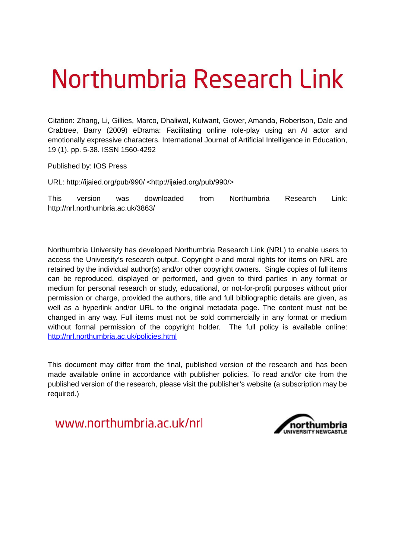# Northumbria Research Link

Citation: Zhang, Li, Gillies, Marco, Dhaliwal, Kulwant, Gower, Amanda, Robertson, Dale and Crabtree, Barry (2009) eDrama: Facilitating online role-play using an AI actor and emotionally expressive characters. International Journal of Artificial Intelligence in Education, 19 (1). pp. 5-38. ISSN 1560-4292

Published by: IOS Press

URL: http://ijaied.org/pub/990/ <http://ijaied.org/pub/990/>

This version was downloaded from Northumbria Research Link: http://nrl.northumbria.ac.uk/3863/

Northumbria University has developed Northumbria Research Link (NRL) to enable users to access the University's research output. Copyright  $\circ$  and moral rights for items on NRL are retained by the individual author(s) and/or other copyright owners. Single copies of full items can be reproduced, displayed or performed, and given to third parties in any format or medium for personal research or study, educational, or not-for-profit purposes without prior permission or charge, provided the authors, title and full bibliographic details are given, as well as a hyperlink and/or URL to the original metadata page. The content must not be changed in any way. Full items must not be sold commercially in any format or medium without formal permission of the copyright holder. The full policy is available online: <http://nrl.northumbria.ac.uk/policies.html>

This document may differ from the final, published version of the research and has been made available online in accordance with publisher policies. To read and/or cite from the published version of the research, please visit the publisher's website (a subscription may be required.)

www.northumbria.ac.uk/nrl

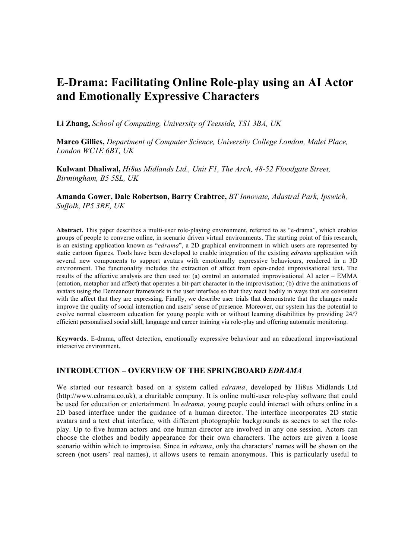## E-Drama: Facilitating Online Role-play using an AI Actor and Emotionally Expressive Characters

Li Zhang, School of Computing, University of Teesside, TS1 3BA, UK

Marco Gillies, Department of Computer Science, University College London, Malet Place, London WC1E 6BT, UK

Kulwant Dhaliwal, Hi8us Midlands Ltd., Unit F1, The Arch, 48-52 Floodgate Street, Birmingham, B5 5SL, UK

Amanda Gower, Dale Robertson, Barry Crabtree, BT Innovate, Adastral Park, Ipswich, Suffolk, IP5 3RE, UK

Abstract. This paper describes a multi-user role-playing environment, referred to as "e-drama", which enables groups of people to converse online, in scenario driven virtual environments. The starting point of this research, is an existing application known as "*edrama*", a 2D graphical environment in which users are represented by static cartoon figures. Tools have been developed to enable integration of the existing *edrama* application with several new components to support avatars with emotionally expressive behaviours, rendered in a 3D environment. The functionality includes the extraction of affect from open-ended improvisational text. The results of the affective analysis are then used to: (a) control an automated improvisational AI actor – EMMA (emotion, metaphor and affect) that operates a bit-part character in the improvisation; (b) drive the animations of avatars using the Demeanour framework in the user interface so that they react bodily in ways that are consistent with the affect that they are expressing. Finally, we describe user trials that demonstrate that the changes made improve the quality of social interaction and users' sense of presence. Moreover, our system has the potential to evolve normal classroom education for young people with or without learning disabilities by providing 24/7 efficient personalised social skill, language and career training via role-play and offering automatic monitoring.

Keywords. E-drama, affect detection, emotionally expressive behaviour and an educational improvisational interactive environment.

## INTRODUCTION – OVERVIEW OF THE SPRINGBOARD EDRAMA

We started our research based on a system called *edrama*, developed by Hi8us Midlands Ltd (http://www.edrama.co.uk), a charitable company. It is online multi-user role-play software that could be used for education or entertainment. In *edrama*, young people could interact with others online in a 2D based interface under the guidance of a human director. The interface incorporates 2D static avatars and a text chat interface, with different photographic backgrounds as scenes to set the roleplay. Up to five human actors and one human director are involved in any one session. Actors can choose the clothes and bodily appearance for their own characters. The actors are given a loose scenario within which to improvise. Since in *edrama*, only the characters' names will be shown on the screen (not users' real names), it allows users to remain anonymous. This is particularly useful to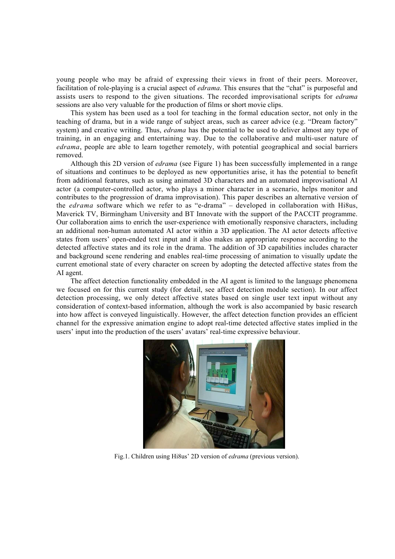young people who may be afraid of expressing their views in front of their peers. Moreover, facilitation of role-playing is a crucial aspect of *edrama*. This ensures that the "chat" is purposeful and assists users to respond to the given situations. The recorded improvisational scripts for edrama sessions are also very valuable for the production of films or short movie clips.

This system has been used as a tool for teaching in the formal education sector, not only in the teaching of drama, but in a wide range of subject areas, such as career advice (e.g. "Dream factory" system) and creative writing. Thus, *edrama* has the potential to be used to deliver almost any type of training, in an engaging and entertaining way. Due to the collaborative and multi-user nature of edrama, people are able to learn together remotely, with potential geographical and social barriers removed.

Although this 2D version of edrama (see Figure 1) has been successfully implemented in a range of situations and continues to be deployed as new opportunities arise, it has the potential to benefit from additional features, such as using animated 3D characters and an automated improvisational AI actor (a computer-controlled actor, who plays a minor character in a scenario, helps monitor and contributes to the progression of drama improvisation). This paper describes an alternative version of the edrama software which we refer to as "e-drama" – developed in collaboration with Hi8us, Maverick TV, Birmingham University and BT Innovate with the support of the PACCIT programme. Our collaboration aims to enrich the user-experience with emotionally responsive characters, including an additional non-human automated AI actor within a 3D application. The AI actor detects affective states from users' open-ended text input and it also makes an appropriate response according to the detected affective states and its role in the drama. The addition of 3D capabilities includes character and background scene rendering and enables real-time processing of animation to visually update the current emotional state of every character on screen by adopting the detected affective states from the AI agent.

The affect detection functionality embedded in the AI agent is limited to the language phenomena we focused on for this current study (for detail, see affect detection module section). In our affect detection processing, we only detect affective states based on single user text input without any consideration of context-based information, although the work is also accompanied by basic research into how affect is conveyed linguistically. However, the affect detection function provides an efficient channel for the expressive animation engine to adopt real-time detected affective states implied in the users' input into the production of the users' avatars' real-time expressive behaviour.



Fig.1. Children using Hi8us' 2D version of edrama (previous version).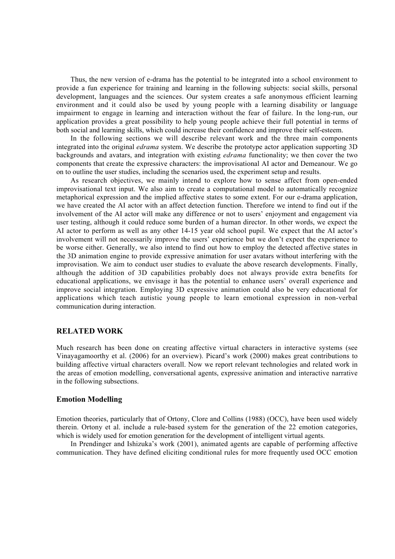Thus, the new version of e-drama has the potential to be integrated into a school environment to provide a fun experience for training and learning in the following subjects: social skills, personal development, languages and the sciences. Our system creates a safe anonymous efficient learning environment and it could also be used by young people with a learning disability or language impairment to engage in learning and interaction without the fear of failure. In the long-run, our application provides a great possibility to help young people achieve their full potential in terms of both social and learning skills, which could increase their confidence and improve their self-esteem.

In the following sections we will describe relevant work and the three main components integrated into the original edrama system. We describe the prototype actor application supporting 3D backgrounds and avatars, and integration with existing edrama functionality; we then cover the two components that create the expressive characters: the improvisational AI actor and Demeanour. We go on to outline the user studies, including the scenarios used, the experiment setup and results.

As research objectives, we mainly intend to explore how to sense affect from open-ended improvisational text input. We also aim to create a computational model to automatically recognize metaphorical expression and the implied affective states to some extent. For our e-drama application, we have created the AI actor with an affect detection function. Therefore we intend to find out if the involvement of the AI actor will make any difference or not to users' enjoyment and engagement via user testing, although it could reduce some burden of a human director. In other words, we expect the AI actor to perform as well as any other 14-15 year old school pupil. We expect that the AI actor's involvement will not necessarily improve the users' experience but we don't expect the experience to be worse either. Generally, we also intend to find out how to employ the detected affective states in the 3D animation engine to provide expressive animation for user avatars without interfering with the improvisation. We aim to conduct user studies to evaluate the above research developments. Finally, although the addition of 3D capabilities probably does not always provide extra benefits for educational applications, we envisage it has the potential to enhance users' overall experience and improve social integration. Employing 3D expressive animation could also be very educational for applications which teach autistic young people to learn emotional expression in non-verbal communication during interaction.

## RELATED WORK

Much research has been done on creating affective virtual characters in interactive systems (see Vinayagamoorthy et al. (2006) for an overview). Picard's work (2000) makes great contributions to building affective virtual characters overall. Now we report relevant technologies and related work in the areas of emotion modelling, conversational agents, expressive animation and interactive narrative in the following subsections.

#### Emotion Modelling

Emotion theories, particularly that of Ortony, Clore and Collins (1988) (OCC), have been used widely therein. Ortony et al. include a rule-based system for the generation of the 22 emotion categories, which is widely used for emotion generation for the development of intelligent virtual agents.

In Prendinger and Ishizuka's work (2001), animated agents are capable of performing affective communication. They have defined eliciting conditional rules for more frequently used OCC emotion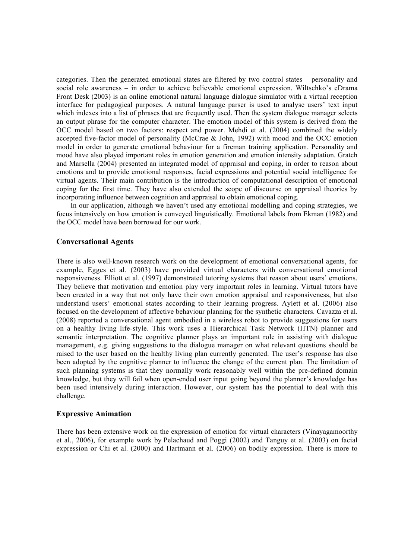categories. Then the generated emotional states are filtered by two control states – personality and social role awareness – in order to achieve believable emotional expression. Wiltschko's eDrama Front Desk (2003) is an online emotional natural language dialogue simulator with a virtual reception interface for pedagogical purposes. A natural language parser is used to analyse users' text input which indexes into a list of phrases that are frequently used. Then the system dialogue manager selects an output phrase for the computer character. The emotion model of this system is derived from the OCC model based on two factors: respect and power. Mehdi et al. (2004) combined the widely accepted five-factor model of personality (McCrae & John, 1992) with mood and the OCC emotion model in order to generate emotional behaviour for a fireman training application. Personality and mood have also played important roles in emotion generation and emotion intensity adaptation. Gratch and Marsella (2004) presented an integrated model of appraisal and coping, in order to reason about emotions and to provide emotional responses, facial expressions and potential social intelligence for virtual agents. Their main contribution is the introduction of computational description of emotional coping for the first time. They have also extended the scope of discourse on appraisal theories by incorporating influence between cognition and appraisal to obtain emotional coping.

In our application, although we haven't used any emotional modelling and coping strategies, we focus intensively on how emotion is conveyed linguistically. Emotional labels from Ekman (1982) and the OCC model have been borrowed for our work.

## Conversational Agents

There is also well-known research work on the development of emotional conversational agents, for example, Egges et al. (2003) have provided virtual characters with conversational emotional responsiveness. Elliott et al. (1997) demonstrated tutoring systems that reason about users' emotions. They believe that motivation and emotion play very important roles in learning. Virtual tutors have been created in a way that not only have their own emotion appraisal and responsiveness, but also understand users' emotional states according to their learning progress. Aylett et al. (2006) also focused on the development of affective behaviour planning for the synthetic characters. Cavazza et al. (2008) reported a conversational agent embodied in a wireless robot to provide suggestions for users on a healthy living life-style. This work uses a Hierarchical Task Network (HTN) planner and semantic interpretation. The cognitive planner plays an important role in assisting with dialogue management, e.g. giving suggestions to the dialogue manager on what relevant questions should be raised to the user based on the healthy living plan currently generated. The user's response has also been adopted by the cognitive planner to influence the change of the current plan. The limitation of such planning systems is that they normally work reasonably well within the pre-defined domain knowledge, but they will fail when open-ended user input going beyond the planner's knowledge has been used intensively during interaction. However, our system has the potential to deal with this challenge.

#### Expressive Animation

There has been extensive work on the expression of emotion for virtual characters (Vinayagamoorthy et al., 2006), for example work by Pelachaud and Poggi (2002) and Tanguy et al. (2003) on facial expression or Chi et al. (2000) and Hartmann et al. (2006) on bodily expression. There is more to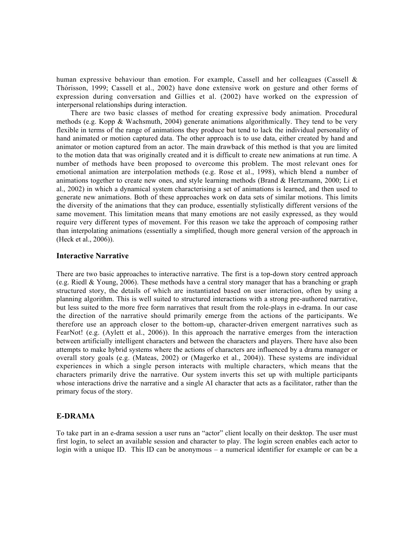human expressive behaviour than emotion. For example, Cassell and her colleagues (Cassell  $\&$ Thórisson, 1999; Cassell et al., 2002) have done extensive work on gesture and other forms of expression during conversation and Gillies et al. (2002) have worked on the expression of interpersonal relationships during interaction.

There are two basic classes of method for creating expressive body animation. Procedural methods (e.g. Kopp & Wachsmuth, 2004) generate animations algorithmically. They tend to be very flexible in terms of the range of animations they produce but tend to lack the individual personality of hand animated or motion captured data. The other approach is to use data, either created by hand and animator or motion captured from an actor. The main drawback of this method is that you are limited to the motion data that was originally created and it is difficult to create new animations at run time. A number of methods have been proposed to overcome this problem. The most relevant ones for emotional animation are interpolation methods (e.g. Rose et al., 1998), which blend a number of animations together to create new ones, and style learning methods (Brand & Hertzmann, 2000; Li et al., 2002) in which a dynamical system characterising a set of animations is learned, and then used to generate new animations. Both of these approaches work on data sets of similar motions. This limits the diversity of the animations that they can produce, essentially stylistically different versions of the same movement. This limitation means that many emotions are not easily expressed, as they would require very different types of movement. For this reason we take the approach of composing rather than interpolating animations (essentially a simplified, though more general version of the approach in (Heck et al., 2006)).

## Interactive Narrative

There are two basic approaches to interactive narrative. The first is a top-down story centred approach (e.g. Riedl & Young, 2006). These methods have a central story manager that has a branching or graph structured story, the details of which are instantiated based on user interaction, often by using a planning algorithm. This is well suited to structured interactions with a strong pre-authored narrative, but less suited to the more free form narratives that result from the role-plays in e-drama. In our case the direction of the narrative should primarily emerge from the actions of the participants. We therefore use an approach closer to the bottom-up, character-driven emergent narratives such as FearNot! (e.g. (Aylett et al., 2006)). In this approach the narrative emerges from the interaction between artificially intelligent characters and between the characters and players. There have also been attempts to make hybrid systems where the actions of characters are influenced by a drama manager or overall story goals (e.g. (Mateas, 2002) or (Magerko et al., 2004)). These systems are individual experiences in which a single person interacts with multiple characters, which means that the characters primarily drive the narrative. Our system inverts this set up with multiple participants whose interactions drive the narrative and a single AI character that acts as a facilitator, rather than the primary focus of the story.

#### E-DRAMA

To take part in an e-drama session a user runs an "actor" client locally on their desktop. The user must first login, to select an available session and character to play. The login screen enables each actor to login with a unique ID. This ID can be anonymous – a numerical identifier for example or can be a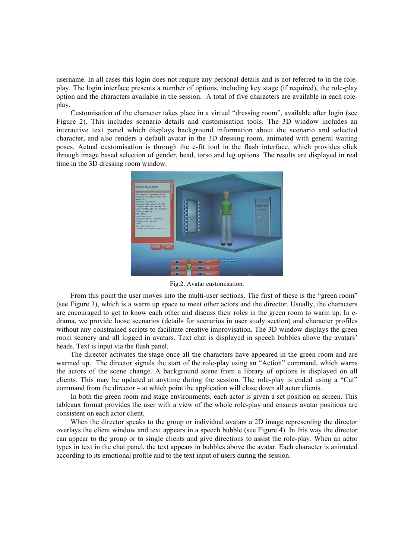username. In all cases this login does not require any personal details and is not referred to in the roleplay. The login interface presents a number of options, including key stage (if required), the role-play option and the characters available in the session. A total of five characters are available in each roleplay.

Customisation of the character takes place in a virtual "dressing room", available after login (see Figure 2). This includes scenario details and customisation tools. The 3D window includes an interactive text panel which displays background information about the scenario and selected character, and also renders a default avatar in the 3D dressing room, animated with general waiting poses. Actual customisation is through the e-fit tool in the flash interface, which provides click through image based selection of gender, head, torso and leg options. The results are displayed in real time in the 3D dressing room window.



Fig.2. Avatar customisation.

From this point the user moves into the multi-user sections. The first of these is the "green room" (see Figure 3), which is a warm up space to meet other actors and the director. Usually, the characters are encouraged to get to know each other and discuss their roles in the green room to warm up. In edrama, we provide loose scenarios (details for scenarios in user study section) and character profiles without any constrained scripts to facilitate creative improvisation. The 3D window displays the green room scenery and all logged in avatars. Text chat is displayed in speech bubbles above the avatars' heads. Text is input via the flash panel.

The director activates the stage once all the characters have appeared in the green room and are warmed up. The director signals the start of the role-play using an "Action" command, which warns the actors of the scene change. A background scene from a library of options is displayed on all clients. This may be updated at anytime during the session. The role-play is ended using a "Cut" command from the director – at which point the application will close down all actor clients.

In both the green room and stage environments, each actor is given a set position on screen. This tableaux format provides the user with a view of the whole role-play and ensures avatar positions are consistent on each actor client.

When the director speaks to the group or individual avatars a 2D image representing the director overlays the client window and text appears in a speech bubble (see Figure 4). In this way the director can appear to the group or to single clients and give directions to assist the role-play. When an actor types in text in the chat panel, the text appears in bubbles above the avatar. Each character is animated according to its emotional profile and to the text input of users during the session.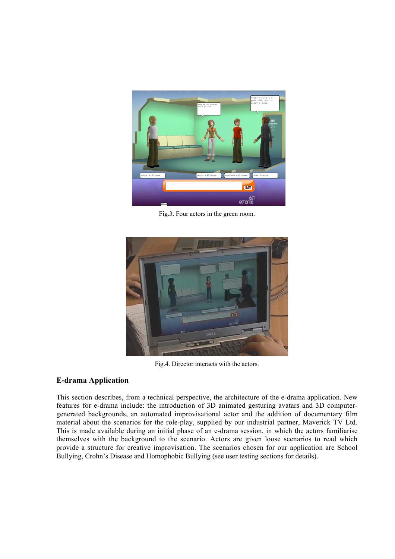

Fig.3. Four actors in the green room.



Fig.4. Director interacts with the actors.

## E-drama Application

This section describes, from a technical perspective, the architecture of the e-drama application. New features for e-drama include: the introduction of 3D animated gesturing avatars and 3D computergenerated backgrounds, an automated improvisational actor and the addition of documentary film material about the scenarios for the role-play, supplied by our industrial partner, Maverick TV Ltd. This is made available during an initial phase of an e-drama session, in which the actors familiarise themselves with the background to the scenario. Actors are given loose scenarios to read which provide a structure for creative improvisation. The scenarios chosen for our application are School Bullying, Crohn's Disease and Homophobic Bullying (see user testing sections for details).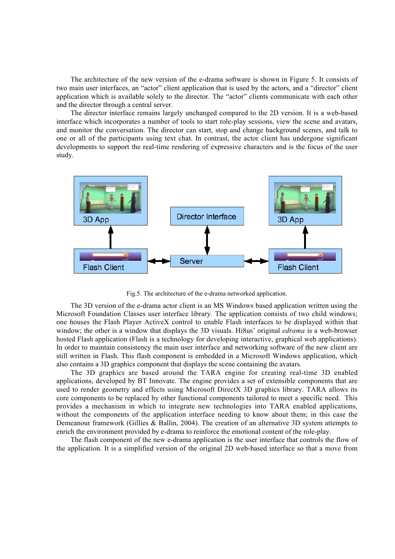The architecture of the new version of the e-drama software is shown in Figure 5. It consists of two main user interfaces, an "actor" client application that is used by the actors, and a "director" client application which is available solely to the director. The "actor" clients communicate with each other and the director through a central server.

The director interface remains largely unchanged compared to the 2D version. It is a web-based interface which incorporates a number of tools to start role-play sessions, view the scene and avatars, and monitor the conversation. The director can start, stop and change background scenes, and talk to one or all of the participants using text chat. In contrast, the actor client has undergone significant developments to support the real-time rendering of expressive characters and is the focus of the user study.



Fig.5. The architecture of the e-drama networked application.

The 3D version of the e-drama actor client is an MS Windows based application written using the Microsoft Foundation Classes user interface library. The application consists of two child windows; one houses the Flash Player ActiveX control to enable Flash interfaces to be displayed within that window; the other is a window that displays the 3D visuals. Hi8us' original *edrama* is a web-browser hosted Flash application (Flash is a technology for developing interactive, graphical web applications). In order to maintain consistency the main user interface and networking software of the new client are still written in Flash. This flash component is embedded in a Microsoft Windows application, which also contains a 3D graphics component that displays the scene containing the avatars.

The 3D graphics are based around the TARA engine for creating real-time 3D enabled applications, developed by BT Innovate. The engine provides a set of extensible components that are used to render geometry and effects using Microsoft DirectX 3D graphics library. TARA allows its core components to be replaced by other functional components tailored to meet a specific need. This provides a mechanism in which to integrate new technologies into TARA enabled applications, without the components of the application interface needing to know about them; in this case the Demeanour framework (Gillies & Ballin, 2004). The creation of an alternative 3D system attempts to enrich the environment provided by e-drama to reinforce the emotional content of the role-play.

The flash component of the new e-drama application is the user interface that controls the flow of the application. It is a simplified version of the original 2D web-based interface so that a move from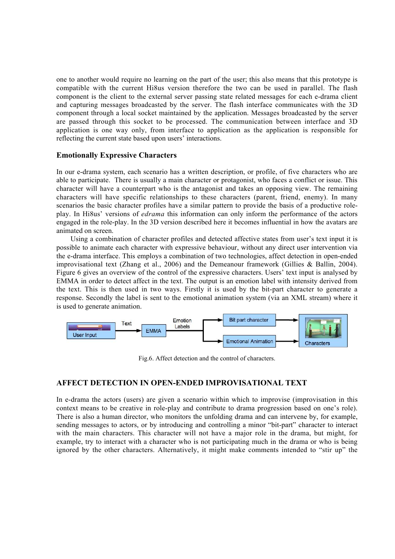one to another would require no learning on the part of the user; this also means that this prototype is compatible with the current Hi8us version therefore the two can be used in parallel. The flash component is the client to the external server passing state related messages for each e-drama client and capturing messages broadcasted by the server. The flash interface communicates with the 3D component through a local socket maintained by the application. Messages broadcasted by the server are passed through this socket to be processed. The communication between interface and 3D application is one way only, from interface to application as the application is responsible for reflecting the current state based upon users' interactions.

## Emotionally Expressive Characters

In our e-drama system, each scenario has a written description, or profile, of five characters who are able to participate. There is usually a main character or protagonist, who faces a conflict or issue. This character will have a counterpart who is the antagonist and takes an opposing view. The remaining characters will have specific relationships to these characters (parent, friend, enemy). In many scenarios the basic character profiles have a similar pattern to provide the basis of a productive roleplay. In Hi8us' versions of edrama this information can only inform the performance of the actors engaged in the role-play. In the 3D version described here it becomes influential in how the avatars are animated on screen.

Using a combination of character profiles and detected affective states from user's text input it is possible to animate each character with expressive behaviour, without any direct user intervention via the e-drama interface. This employs a combination of two technologies, affect detection in open-ended improvisational text (Zhang et al., 2006) and the Demeanour framework (Gillies & Ballin, 2004). Figure 6 gives an overview of the control of the expressive characters. Users' text input is analysed by EMMA in order to detect affect in the text. The output is an emotion label with intensity derived from the text. This is then used in two ways. Firstly it is used by the bit-part character to generate a response. Secondly the label is sent to the emotional animation system (via an XML stream) where it is used to generate animation.



Fig.6. Affect detection and the control of characters.

## AFFECT DETECTION IN OPEN-ENDED IMPROVISATIONAL TEXT

In e-drama the actors (users) are given a scenario within which to improvise (improvisation in this context means to be creative in role-play and contribute to drama progression based on one's role). There is also a human director, who monitors the unfolding drama and can intervene by, for example, sending messages to actors, or by introducing and controlling a minor "bit-part" character to interact with the main characters. This character will not have a major role in the drama, but might, for example, try to interact with a character who is not participating much in the drama or who is being ignored by the other characters. Alternatively, it might make comments intended to "stir up" the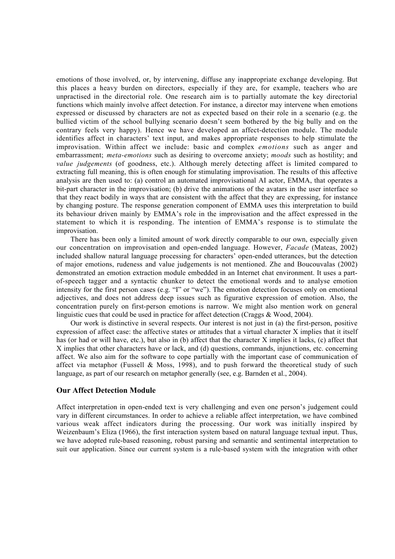emotions of those involved, or, by intervening, diffuse any inappropriate exchange developing. But this places a heavy burden on directors, especially if they are, for example, teachers who are unpractised in the directorial role. One research aim is to partially automate the key directorial functions which mainly involve affect detection. For instance, a director may intervene when emotions expressed or discussed by characters are not as expected based on their role in a scenario (e.g. the bullied victim of the school bullying scenario doesn't seem bothered by the big bully and on the contrary feels very happy). Hence we have developed an affect-detection module. The module identifies affect in characters' text input, and makes appropriate responses to help stimulate the improvisation. Within affect we include: basic and complex emotions such as anger and embarrassment; *meta-emotions* such as desiring to overcome anxiety; *moods* such as hostility; and value judgements (of goodness, etc.). Although merely detecting affect is limited compared to extracting full meaning, this is often enough for stimulating improvisation. The results of this affective analysis are then used to: (a) control an automated improvisational AI actor, EMMA, that operates a bit-part character in the improvisation; (b) drive the animations of the avatars in the user interface so that they react bodily in ways that are consistent with the affect that they are expressing, for instance by changing posture. The response generation component of EMMA uses this interpretation to build its behaviour driven mainly by EMMA's role in the improvisation and the affect expressed in the statement to which it is responding. The intention of EMMA's response is to stimulate the improvisation.

There has been only a limited amount of work directly comparable to our own, especially given our concentration on improvisation and open-ended language. However, Facade (Mateas, 2002) included shallow natural language processing for characters' open-ended utterances, but the detection of major emotions, rudeness and value judgements is not mentioned. Zhe and Boucouvalas (2002) demonstrated an emotion extraction module embedded in an Internet chat environment. It uses a partof-speech tagger and a syntactic chunker to detect the emotional words and to analyse emotion intensity for the first person cases (e.g. "I" or "we"). The emotion detection focuses only on emotional adjectives, and does not address deep issues such as figurative expression of emotion. Also, the concentration purely on first-person emotions is narrow. We might also mention work on general linguistic cues that could be used in practice for affect detection (Craggs & Wood, 2004).

Our work is distinctive in several respects. Our interest is not just in (a) the first-person, positive expression of affect case: the affective states or attitudes that a virtual character X implies that it itself has (or had or will have, etc.), but also in (b) affect that the character X implies it lacks, (c) affect that X implies that other characters have or lack, and (d) questions, commands, injunctions, etc. concerning affect. We also aim for the software to cope partially with the important case of communication of affect via metaphor (Fussell & Moss, 1998), and to push forward the theoretical study of such language, as part of our research on metaphor generally (see, e.g. Barnden et al., 2004).

## Our Affect Detection Module

Affect interpretation in open-ended text is very challenging and even one person's judgement could vary in different circumstances. In order to achieve a reliable affect interpretation, we have combined various weak affect indicators during the processing. Our work was initially inspired by Weizenbaum's Eliza (1966), the first interaction system based on natural language textual input. Thus, we have adopted rule-based reasoning, robust parsing and semantic and sentimental interpretation to suit our application. Since our current system is a rule-based system with the integration with other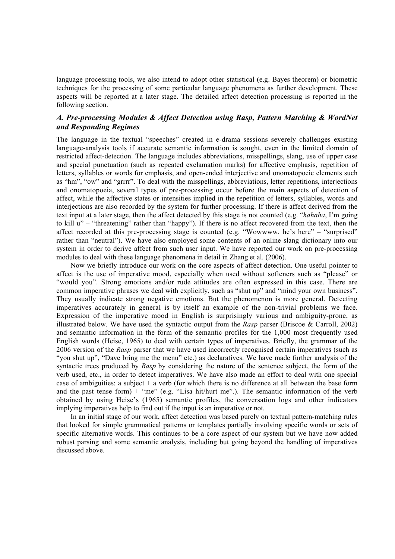language processing tools, we also intend to adopt other statistical (e.g. Bayes theorem) or biometric techniques for the processing of some particular language phenomena as further development. These aspects will be reported at a later stage. The detailed affect detection processing is reported in the following section.

## A. Pre-processing Modules & Affect Detection using Rasp, Pattern Matching & WordNet and Responding Regimes

The language in the textual "speeches" created in e-drama sessions severely challenges existing language-analysis tools if accurate semantic information is sought, even in the limited domain of restricted affect-detection. The language includes abbreviations, misspellings, slang, use of upper case and special punctuation (such as repeated exclamation marks) for affective emphasis, repetition of letters, syllables or words for emphasis, and open-ended interjective and onomatopoeic elements such as "hm", "ow" and "grrrr". To deal with the misspellings, abbreviations, letter repetitions, interjections and onomatopoeia, several types of pre-processing occur before the main aspects of detection of affect, while the affective states or intensities implied in the repetition of letters, syllables, words and interjections are also recorded by the system for further processing. If there is affect derived from the text input at a later stage, then the affect detected by this stage is not counted (e.g. "hahaha, I'm going to kill u" – "threatening" rather than "happy"). If there is no affect recovered from the text, then the affect recorded at this pre-processing stage is counted (e.g. "Wowwww, he's here" – "surprised" rather than "neutral"). We have also employed some contents of an online slang dictionary into our system in order to derive affect from such user input. We have reported our work on pre-processing modules to deal with these language phenomena in detail in Zhang et al. (2006).

Now we briefly introduce our work on the core aspects of affect detection. One useful pointer to affect is the use of imperative mood, especially when used without softeners such as "please" or "would you". Strong emotions and/or rude attitudes are often expressed in this case. There are common imperative phrases we deal with explicitly, such as "shut up" and "mind your own business". They usually indicate strong negative emotions. But the phenomenon is more general. Detecting imperatives accurately in general is by itself an example of the non-trivial problems we face. Expression of the imperative mood in English is surprisingly various and ambiguity-prone, as illustrated below. We have used the syntactic output from the Rasp parser (Briscoe & Carroll, 2002) and semantic information in the form of the semantic profiles for the 1,000 most frequently used English words (Heise, 1965) to deal with certain types of imperatives. Briefly, the grammar of the 2006 version of the Rasp parser that we have used incorrectly recognised certain imperatives (such as "you shut up", "Dave bring me the menu" etc.) as declaratives. We have made further analysis of the syntactic trees produced by Rasp by considering the nature of the sentence subject, the form of the verb used, etc., in order to detect imperatives. We have also made an effort to deal with one special case of ambiguities: a subject  $+$  a verb (for which there is no difference at all between the base form and the past tense form)  $+$  "me" (e.g. "Lisa hit/hurt me".). The semantic information of the verb obtained by using Heise's (1965) semantic profiles, the conversation logs and other indicators implying imperatives help to find out if the input is an imperative or not.

In an initial stage of our work, affect detection was based purely on textual pattern-matching rules that looked for simple grammatical patterns or templates partially involving specific words or sets of specific alternative words. This continues to be a core aspect of our system but we have now added robust parsing and some semantic analysis, including but going beyond the handling of imperatives discussed above.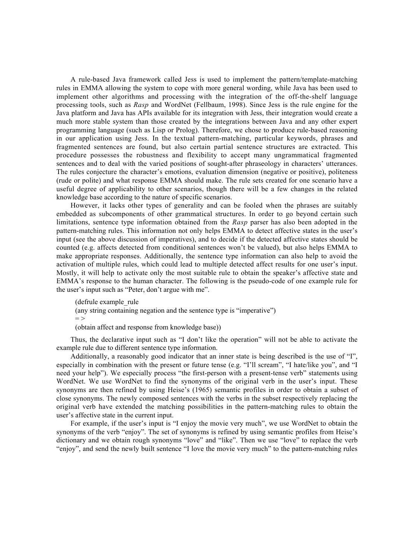A rule-based Java framework called Jess is used to implement the pattern/template-matching rules in EMMA allowing the system to cope with more general wording, while Java has been used to implement other algorithms and processing with the integration of the off-the-shelf language processing tools, such as Rasp and WordNet (Fellbaum, 1998). Since Jess is the rule engine for the Java platform and Java has APIs available for its integration with Jess, their integration would create a much more stable system than those created by the integrations between Java and any other expert programming language (such as Lisp or Prolog). Therefore, we chose to produce rule-based reasoning in our application using Jess. In the textual pattern-matching, particular keywords, phrases and fragmented sentences are found, but also certain partial sentence structures are extracted. This procedure possesses the robustness and flexibility to accept many ungrammatical fragmented sentences and to deal with the varied positions of sought-after phraseology in characters' utterances. The rules conjecture the character's emotions, evaluation dimension (negative or positive), politeness (rude or polite) and what response EMMA should make. The rule sets created for one scenario have a useful degree of applicability to other scenarios, though there will be a few changes in the related knowledge base according to the nature of specific scenarios.

However, it lacks other types of generality and can be fooled when the phrases are suitably embedded as subcomponents of other grammatical structures. In order to go beyond certain such limitations, sentence type information obtained from the Rasp parser has also been adopted in the pattern-matching rules. This information not only helps EMMA to detect affective states in the user's input (see the above discussion of imperatives), and to decide if the detected affective states should be counted (e.g. affects detected from conditional sentences won't be valued), but also helps EMMA to make appropriate responses. Additionally, the sentence type information can also help to avoid the activation of multiple rules, which could lead to multiple detected affect results for one user's input. Mostly, it will help to activate only the most suitable rule to obtain the speaker's affective state and EMMA's response to the human character. The following is the pseudo-code of one example rule for the user's input such as "Peter, don't argue with me".

(defrule example\_rule

(any string containing negation and the sentence type is "imperative")

 $=$   $>$ 

(obtain affect and response from knowledge base))

Thus, the declarative input such as "I don't like the operation" will not be able to activate the example rule due to different sentence type information.

Additionally, a reasonably good indicator that an inner state is being described is the use of "I", especially in combination with the present or future tense (e.g. "I'll scream", "I hate/like you", and "I need your help"). We especially process "the first-person with a present-tense verb" statements using WordNet. We use WordNet to find the synonyms of the original verb in the user's input. These synonyms are then refined by using Heise's (1965) semantic profiles in order to obtain a subset of close synonyms. The newly composed sentences with the verbs in the subset respectively replacing the original verb have extended the matching possibilities in the pattern-matching rules to obtain the user's affective state in the current input.

For example, if the user's input is "I enjoy the movie very much", we use WordNet to obtain the synonyms of the verb "enjoy". The set of synonyms is refined by using semantic profiles from Heise's dictionary and we obtain rough synonyms "love" and "like". Then we use "love" to replace the verb "enjoy", and send the newly built sentence "I love the movie very much" to the pattern-matching rules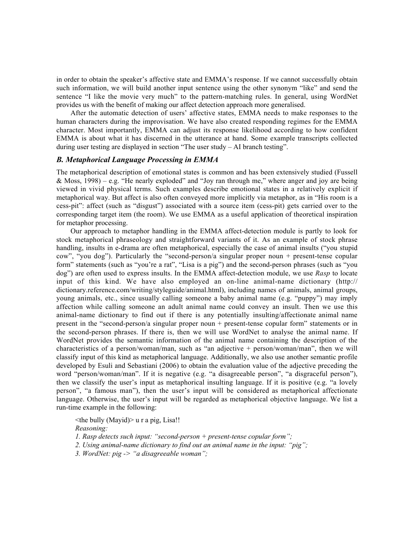in order to obtain the speaker's affective state and EMMA's response. If we cannot successfully obtain such information, we will build another input sentence using the other synonym "like" and send the sentence "I like the movie very much" to the pattern-matching rules. In general, using WordNet provides us with the benefit of making our affect detection approach more generalised.

After the automatic detection of users' affective states, EMMA needs to make responses to the human characters during the improvisation. We have also created responding regimes for the EMMA character. Most importantly, EMMA can adjust its response likelihood according to how confident EMMA is about what it has discerned in the utterance at hand. Some example transcripts collected during user testing are displayed in section "The user study  $-$  AI branch testing".

## B. Metaphorical Language Processing in EMMA

The metaphorical description of emotional states is common and has been extensively studied (Fussell & Moss, 1998) – e.g. "He nearly exploded" and "Joy ran through me," where anger and joy are being viewed in vivid physical terms. Such examples describe emotional states in a relatively explicit if metaphorical way. But affect is also often conveyed more implicitly via metaphor, as in "His room is a cess-pit": affect (such as "disgust") associated with a source item (cess-pit) gets carried over to the corresponding target item (the room). We use EMMA as a useful application of theoretical inspiration for metaphor processing.

Our approach to metaphor handling in the EMMA affect-detection module is partly to look for stock metaphorical phraseology and straightforward variants of it. As an example of stock phrase handling, insults in e-drama are often metaphorical, especially the case of animal insults ("you stupid cow", "you dog"). Particularly the "second-person/a singular proper noun + present-tense copular form" statements (such as "you're a rat", "Lisa is a pig") and the second-person phrases (such as "you dog") are often used to express insults. In the EMMA affect-detection module, we use Rasp to locate input of this kind. We have also employed an on-line animal-name dictionary (http:// dictionary.reference.com/writing/styleguide/animal.html), including names of animals, animal groups, young animals, etc., since usually calling someone a baby animal name (e.g. "puppy") may imply affection while calling someone an adult animal name could convey an insult. Then we use this animal-name dictionary to find out if there is any potentially insulting/affectionate animal name present in the "second-person/a singular proper noun + present-tense copular form" statements or in the second-person phrases. If there is, then we will use WordNet to analyse the animal name. If WordNet provides the semantic information of the animal name containing the description of the characteristics of a person/woman/man, such as "an adjective + person/woman/man", then we will classify input of this kind as metaphorical language. Additionally, we also use another semantic profile developed by Esuli and Sebastiani (2006) to obtain the evaluation value of the adjective preceding the word "person/woman/man". If it is negative (e.g. "a disagreeable person", "a disgraceful person"), then we classify the user's input as metaphorical insulting language. If it is positive (e.g. "a lovely person", "a famous man"), then the user's input will be considered as metaphorical affectionate language. Otherwise, the user's input will be regarded as metaphorical objective language. We list a run-time example in the following:

 $\leq$ the bully (Mayid)  $>$ u r a pig, Lisa!! Reasoning:

1. Rasp detects such input: "second-person + present-tense copular form";

2. Using animal-name dictionary to find out an animal name in the input: "pig";

3. WordNet: pig -> "a disagreeable woman";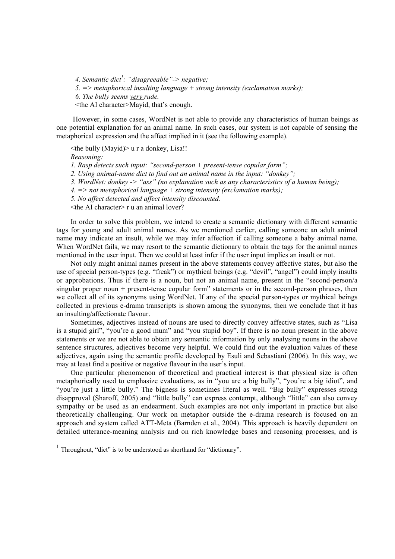4. Semantic dict<sup>1</sup>: "disagreeable"-> negative;  $5.$  => metaphorical insulting language + strong intensity (exclamation marks); 6. The bully seems very rude. <the AI character>Mayid, that's enough.

 However, in some cases, WordNet is not able to provide any characteristics of human beings as one potential explanation for an animal name. In such cases, our system is not capable of sensing the metaphorical expression and the affect implied in it (see the following example).

<the bully (Mayid)> u r a donkey, Lisa!!

Reasoning:

 $\overline{a}$ 

1. Rasp detects such input: "second-person + present-tense copular form";

2. Using animal-name dict to find out an animal name in the input: "donkey";

3. WordNet: donkey -> "ass" (no explanation such as any characteristics of a human being);

 $4. \Rightarrow$  not metaphorical language + strong intensity (exclamation marks);

5. No affect detected and affect intensity discounted.

 $\leq$ the AI character> r u an animal lover?

In order to solve this problem, we intend to create a semantic dictionary with different semantic tags for young and adult animal names. As we mentioned earlier, calling someone an adult animal name may indicate an insult, while we may infer affection if calling someone a baby animal name. When WordNet fails, we may resort to the semantic dictionary to obtain the tags for the animal names mentioned in the user input. Then we could at least infer if the user input implies an insult or not.

Not only might animal names present in the above statements convey affective states, but also the use of special person-types (e.g. "freak") or mythical beings (e.g. "devil", "angel") could imply insults or approbations. Thus if there is a noun, but not an animal name, present in the "second-person/a singular proper noun  $+$  present-tense copular form" statements or in the second-person phrases, then we collect all of its synonyms using WordNet. If any of the special person-types or mythical beings collected in previous e-drama transcripts is shown among the synonyms, then we conclude that it has an insulting/affectionate flavour.

Sometimes, adjectives instead of nouns are used to directly convey affective states, such as "Lisa is a stupid girl", "you're a good mum" and "you stupid boy". If there is no noun present in the above statements or we are not able to obtain any semantic information by only analysing nouns in the above sentence structures, adjectives become very helpful. We could find out the evaluation values of these adjectives, again using the semantic profile developed by Esuli and Sebastiani (2006). In this way, we may at least find a positive or negative flavour in the user's input.

One particular phenomenon of theoretical and practical interest is that physical size is often metaphorically used to emphasize evaluations, as in "you are a big bully", "you're a big idiot", and "you're just a little bully." The bigness is sometimes literal as well. "Big bully" expresses strong disapproval (Sharoff, 2005) and "little bully" can express contempt, although "little" can also convey sympathy or be used as an endearment. Such examples are not only important in practice but also theoretically challenging. Our work on metaphor outside the e-drama research is focused on an approach and system called ATT-Meta (Barnden et al., 2004). This approach is heavily dependent on detailed utterance-meaning analysis and on rich knowledge bases and reasoning processes, and is

<sup>&</sup>lt;sup>1</sup> Throughout, "dict" is to be understood as shorthand for "dictionary".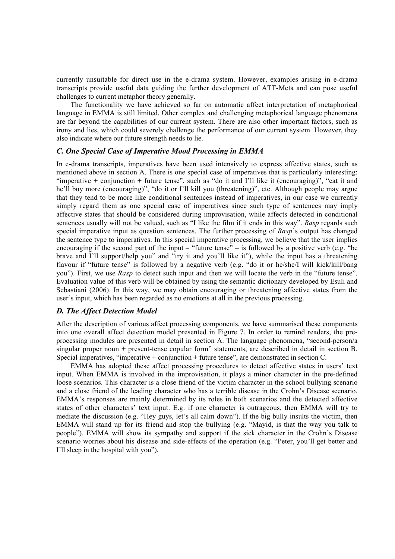currently unsuitable for direct use in the e-drama system. However, examples arising in e-drama transcripts provide useful data guiding the further development of ATT-Meta and can pose useful challenges to current metaphor theory generally.

The functionality we have achieved so far on automatic affect interpretation of metaphorical language in EMMA is still limited. Other complex and challenging metaphorical language phenomena are far beyond the capabilities of our current system. There are also other important factors, such as irony and lies, which could severely challenge the performance of our current system. However, they also indicate where our future strength needs to lie.

## C. One Special Case of Imperative Mood Processing in EMMA

In e-drama transcripts, imperatives have been used intensively to express affective states, such as mentioned above in section A. There is one special case of imperatives that is particularly interesting: "imperative + conjunction + future tense", such as "do it and I'll like it (encouraging)", "eat it and he'll buy more (encouraging)", "do it or I'll kill you (threatening)", etc. Although people may argue that they tend to be more like conditional sentences instead of imperatives, in our case we currently simply regard them as one special case of imperatives since such type of sentences may imply affective states that should be considered during improvisation, while affects detected in conditional sentences usually will not be valued, such as "I like the film if it ends in this way". Rasp regards such special imperative input as question sentences. The further processing of Rasp's output has changed the sentence type to imperatives. In this special imperative processing, we believe that the user implies encouraging if the second part of the input – "future tense" – is followed by a positive verb (e.g. "be brave and I'll support/help you" and "try it and you'll like it"), while the input has a threatening flavour if "future tense" is followed by a negative verb (e.g. "do it or he/she/I will kick/kill/bang you"). First, we use *Rasp* to detect such input and then we will locate the verb in the "future tense". Evaluation value of this verb will be obtained by using the semantic dictionary developed by Esuli and Sebastiani (2006). In this way, we may obtain encouraging or threatening affective states from the user's input, which has been regarded as no emotions at all in the previous processing.

## D. The Affect Detection Model

After the description of various affect processing components, we have summarised these components into one overall affect detection model presented in Figure 7. In order to remind readers, the preprocessing modules are presented in detail in section A. The language phenomena, "second-person/a singular proper noun + present-tense copular form" statements, are described in detail in section B. Special imperatives, "imperative + conjunction + future tense", are demonstrated in section C.

EMMA has adopted these affect processing procedures to detect affective states in users' text input. When EMMA is involved in the improvisation, it plays a minor character in the pre-defined loose scenarios. This character is a close friend of the victim character in the school bullying scenario and a close friend of the leading character who has a terrible disease in the Crohn's Disease scenario. EMMA's responses are mainly determined by its roles in both scenarios and the detected affective states of other characters' text input. E.g. if one character is outrageous, then EMMA will try to mediate the discussion (e.g. "Hey guys, let's all calm down"). If the big bully insults the victim, then EMMA will stand up for its friend and stop the bullying (e.g. "Mayid, is that the way you talk to people"). EMMA will show its sympathy and support if the sick character in the Crohn's Disease scenario worries about his disease and side-effects of the operation (e.g. "Peter, you'll get better and I'll sleep in the hospital with you").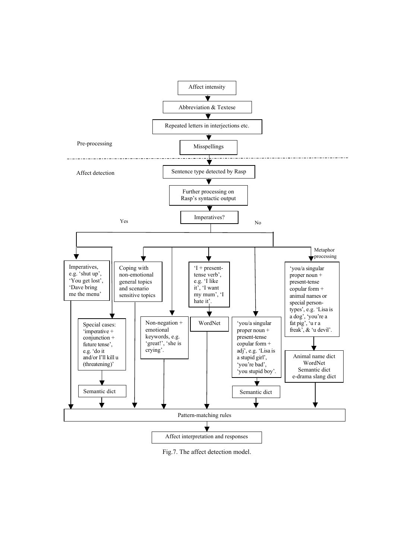

Fig.7. The affect detection model.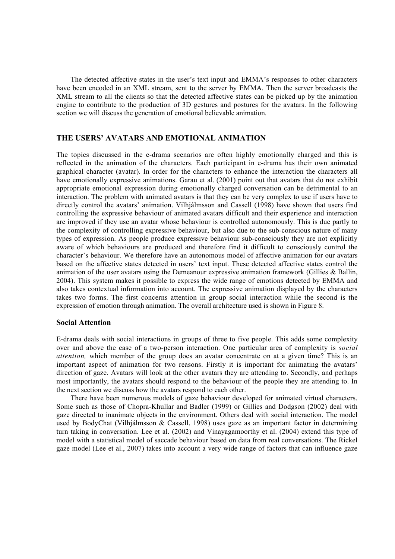The detected affective states in the user's text input and EMMA's responses to other characters have been encoded in an XML stream, sent to the server by EMMA. Then the server broadcasts the XML stream to all the clients so that the detected affective states can be picked up by the animation engine to contribute to the production of 3D gestures and postures for the avatars. In the following section we will discuss the generation of emotional believable animation.

## THE USERS' AVATARS AND EMOTIONAL ANIMATION

The topics discussed in the e-drama scenarios are often highly emotionally charged and this is reflected in the animation of the characters. Each participant in e-drama has their own animated graphical character (avatar). In order for the characters to enhance the interaction the characters all have emotionally expressive animations. Garau et al. (2001) point out that avatars that do not exhibit appropriate emotional expression during emotionally charged conversation can be detrimental to an interaction. The problem with animated avatars is that they can be very complex to use if users have to directly control the avatars' animation. Vilhjálmsson and Cassell (1998) have shown that users find controlling the expressive behaviour of animated avatars difficult and their experience and interaction are improved if they use an avatar whose behaviour is controlled autonomously. This is due partly to the complexity of controlling expressive behaviour, but also due to the sub-conscious nature of many types of expression. As people produce expressive behaviour sub-consciously they are not explicitly aware of which behaviours are produced and therefore find it difficult to consciously control the character's behaviour. We therefore have an autonomous model of affective animation for our avatars based on the affective states detected in users' text input. These detected affective states control the animation of the user avatars using the Demeanour expressive animation framework (Gillies & Ballin, 2004). This system makes it possible to express the wide range of emotions detected by EMMA and also takes contextual information into account. The expressive animation displayed by the characters takes two forms. The first concerns attention in group social interaction while the second is the expression of emotion through animation. The overall architecture used is shown in Figure 8.

#### Social Attention

E-drama deals with social interactions in groups of three to five people. This adds some complexity over and above the case of a two-person interaction. One particular area of complexity is social attention, which member of the group does an avatar concentrate on at a given time? This is an important aspect of animation for two reasons. Firstly it is important for animating the avatars' direction of gaze. Avatars will look at the other avatars they are attending to. Secondly, and perhaps most importantly, the avatars should respond to the behaviour of the people they are attending to. In the next section we discuss how the avatars respond to each other.

There have been numerous models of gaze behaviour developed for animated virtual characters. Some such as those of Chopra-Khullar and Badler (1999) or Gillies and Dodgson (2002) deal with gaze directed to inanimate objects in the environment. Others deal with social interaction. The model used by BodyChat (Vilhjálmsson & Cassell, 1998) uses gaze as an important factor in determining turn taking in conversation. Lee et al. (2002) and Vinayagamoorthy et al. (2004) extend this type of model with a statistical model of saccade behaviour based on data from real conversations. The Rickel gaze model (Lee et al., 2007) takes into account a very wide range of factors that can influence gaze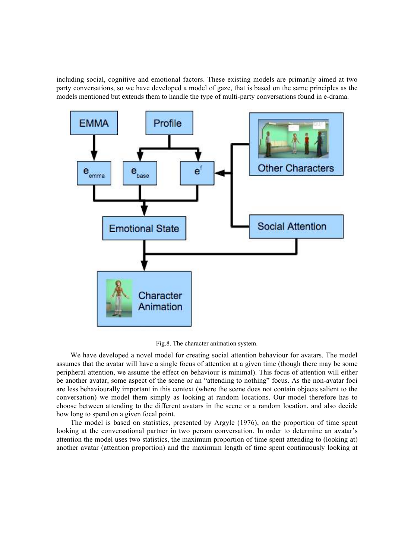including social, cognitive and emotional factors. These existing models are primarily aimed at two party conversations, so we have developed a model of gaze, that is based on the same principles as the models mentioned but extends them to handle the type of multi-party conversations found in e-drama.



Fig.8. The character animation system.

We have developed a novel model for creating social attention behaviour for avatars. The model assumes that the avatar will have a single focus of attention at a given time (though there may be some peripheral attention, we assume the effect on behaviour is minimal). This focus of attention will either be another avatar, some aspect of the scene or an "attending to nothing" focus. As the non-avatar foci are less behaviourally important in this context (where the scene does not contain objects salient to the conversation) we model them simply as looking at random locations. Our model therefore has to choose between attending to the different avatars in the scene or a random location, and also decide how long to spend on a given focal point.

The model is based on statistics, presented by Argyle (1976), on the proportion of time spent looking at the conversational partner in two person conversation. In order to determine an avatar's attention the model uses two statistics, the maximum proportion of time spent attending to (looking at) another avatar (attention proportion) and the maximum length of time spent continuously looking at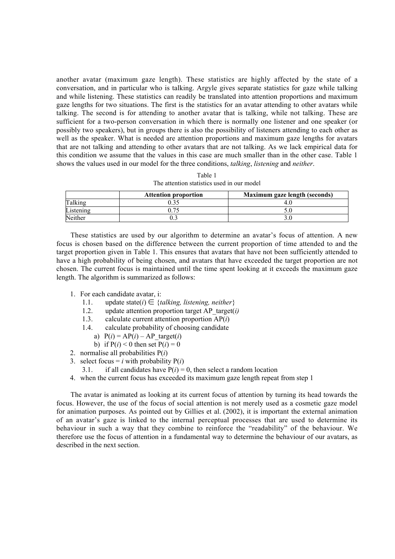another avatar (maximum gaze length). These statistics are highly affected by the state of a conversation, and in particular who is talking. Argyle gives separate statistics for gaze while talking and while listening. These statistics can readily be translated into attention proportions and maximum gaze lengths for two situations. The first is the statistics for an avatar attending to other avatars while talking. The second is for attending to another avatar that is talking, while not talking. These are sufficient for a two-person conversation in which there is normally one listener and one speaker (or possibly two speakers), but in groups there is also the possibility of listeners attending to each other as well as the speaker. What is needed are attention proportions and maximum gaze lengths for avatars that are not talking and attending to other avatars that are not talking. As we lack empirical data for this condition we assume that the values in this case are much smaller than in the other case. Table 1 shows the values used in our model for the three conditions, *talking*, *listening* and *neither*.

Table 1 The attention statistics used in our model

|           | <b>Attention proportion</b> | <b>Maximum gaze length (seconds)</b> |
|-----------|-----------------------------|--------------------------------------|
| Talking   |                             |                                      |
| Listening |                             |                                      |
| Neither   |                             |                                      |

These statistics are used by our algorithm to determine an avatar's focus of attention. A new focus is chosen based on the difference between the current proportion of time attended to and the target proportion given in Table 1. This ensures that avatars that have not been sufficiently attended to have a high probability of being chosen, and avatars that have exceeded the target proportion are not chosen. The current focus is maintained until the time spent looking at it exceeds the maximum gaze length. The algorithm is summarized as follows:

- 1. For each candidate avatar, i:
	- 1.1. update state(i)  $\in$  {talking, listening, neither}
	- 1.2. update attention proportion target AP target(i)
	- 1.3. calculate current attention proportion  $AP(i)$
	- 1.4. calculate probability of choosing candidate
		- a)  $P(i) = AP(i) AP$  target(i)
		- b) if  $P(i) < 0$  then set  $P(i) = 0$
- 2. normalise all probabilities  $P(i)$
- 3. select focus = i with probability  $P(i)$ 
	- 3.1. if all candidates have  $P(i) = 0$ , then select a random location
- 4. when the current focus has exceeded its maximum gaze length repeat from step 1

The avatar is animated as looking at its current focus of attention by turning its head towards the focus. However, the use of the focus of social attention is not merely used as a cosmetic gaze model for animation purposes. As pointed out by Gillies et al. (2002), it is important the external animation of an avatar's gaze is linked to the internal perceptual processes that are used to determine its behaviour in such a way that they combine to reinforce the "readability" of the behaviour. We therefore use the focus of attention in a fundamental way to determine the behaviour of our avatars, as described in the next section.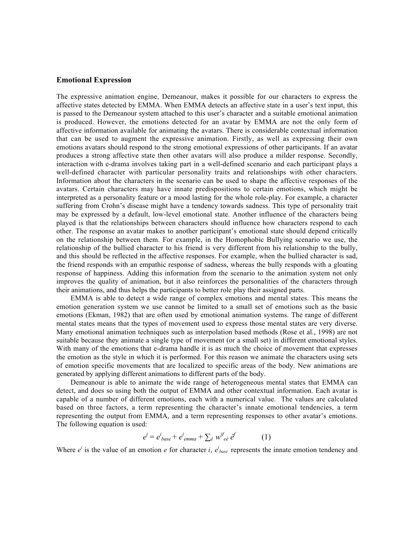#### Emotional Expression

The expressive animation engine, Demeanour, makes it possible for our characters to express the affective states detected by EMMA. When EMMA detects an affective state in a user's text input, this is passed to the Demeanour system attached to this user's character and a suitable emotional animation is produced. However, the emotions detected for an avatar by EMMA are not the only form of affective information available for animating the avatars. There is considerable contextual information that can be used to augment the expressive animation. Firstly, as well as expressing their own emotions avatars should respond to the strong emotional expressions of other participants. If an avatar produces a strong affective state then other avatars will also produce a milder response. Secondly, interaction with e-drama involves taking part in a well-defined scenario and each participant plays a well-defined character with particular personality traits and relationships with other characters. Information about the characters in the scenario can be used to shape the affective responses of the avatars. Certain characters may have innate predispositions to certain emotions, which might be interpreted as a personality feature or a mood lasting for the whole role-play. For example, a character suffering from Crohn's disease might have a tendency towards sadness. This type of personality trait may be expressed by a default, low-level emotional state. Another influence of the characters being played is that the relationships between characters should influence how characters respond to each other. The response an avatar makes to another participant's emotional state should depend critically on the relationship between them. For example, in the Homophobic Bullying scenario we use, the relationship of the bullied character to his friend is very different from his relationship to the bully, and this should be reflected in the affective responses. For example, when the bullied character is sad, the friend responds with an empathic response of sadness, whereas the bully responds with a gloating response of happiness. Adding this information from the scenario to the animation system not only improves the quality of animation, but it also reinforces the personalities of the characters through their animations, and thus helps the participants to better role play their assigned parts.

EMMA is able to detect a wide range of complex emotions and mental states. This means the emotion generation system we use cannot be limited to a small set of emotions such as the basic emotions (Ekman, 1982) that are often used by emotional animation systems. The range of different mental states means that the types of movement used to express those mental states are very diverse. Many emotional animation techniques such as interpolation based methods (Rose et al., 1998) are not suitable because they animate a single type of movement (or a small set) in different emotional styles. With many of the emotions that e-drama handle it is as much the choice of movement that expresses the emotion as the style in which it is performed. For this reason we animate the characters using sets of emotion specific movements that are localized to specific areas of the body. New animations are generated by applying different animations to different parts of the body.

Demeanour is able to animate the wide range of heterogeneous mental states that EMMA can detect, and does so using both the output of EMMA and other contextual information. Each avatar is capable of a number of different emotions, each with a numerical value. The values are calculated based on three factors, a term representing the character's innate emotional tendencies, a term representing the output from EMMA, and a term representing responses to other avatar's emotions. The following equation is used:

$$
e^i = e^i_{\text{base}} + e^i_{\text{emma}} + \sum_{\hat{e}} w^{\hat{f}}_{\text{ee}} \hat{e}^f \tag{1}
$$

Where  $e^i$  is the value of an emotion e for character i,  $e^i_{base}$  represents the innate emotion tendency and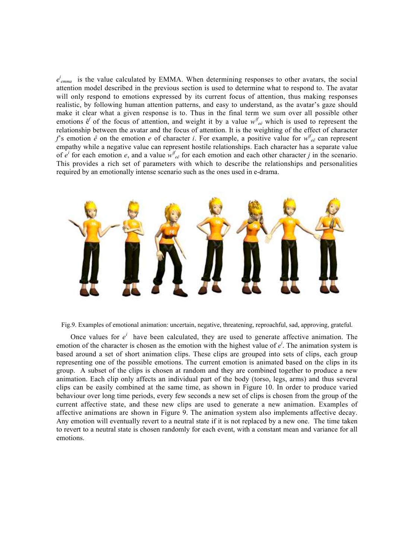$e^{i}_{\text{emm}a}$  is the value calculated by EMMA. When determining responses to other avatars, the social attention model described in the previous section is used to determine what to respond to. The avatar will only respond to emotions expressed by its current focus of attention, thus making responses realistic, by following human attention patterns, and easy to understand, as the avatar's gaze should make it clear what a given response is to. Thus in the final term we sum over all possible other emotions  $\hat{e}^f$  of the focus of attention, and weight it by a value  $w^{if}_{e\hat{e}}$  which is used to represent the relationship between the avatar and the focus of attention. It is the weighting of the effect of character f's emotion  $\hat{e}$  on the emotion  $e$  of character i. For example, a positive value for  $w^{ij}_{e\hat{e}}$  can represent empathy while a negative value can represent hostile relationships. Each character has a separate value of  $e^i$  for each emotion e, and a value  $w^{if}_{e\hat{e}}$  for each emotion and each other character j in the scenario. This provides a rich set of parameters with which to describe the relationships and personalities required by an emotionally intense scenario such as the ones used in e-drama.



Fig.9. Examples of emotional animation: uncertain, negative, threatening, reproachful, sad, approving, grateful.

Once values for  $e^{i}$  have been calculated, they are used to generate affective animation. The emotion of the character is chosen as the emotion with the highest value of  $e^i$ . The animation system is based around a set of short animation clips. These clips are grouped into sets of clips, each group representing one of the possible emotions. The current emotion is animated based on the clips in its group. A subset of the clips is chosen at random and they are combined together to produce a new animation. Each clip only affects an individual part of the body (torso, legs, arms) and thus several clips can be easily combined at the same time, as shown in Figure 10. In order to produce varied behaviour over long time periods, every few seconds a new set of clips is chosen from the group of the current affective state, and these new clips are used to generate a new animation. Examples of affective animations are shown in Figure 9. The animation system also implements affective decay. Any emotion will eventually revert to a neutral state if it is not replaced by a new one. The time taken to revert to a neutral state is chosen randomly for each event, with a constant mean and variance for all emotions.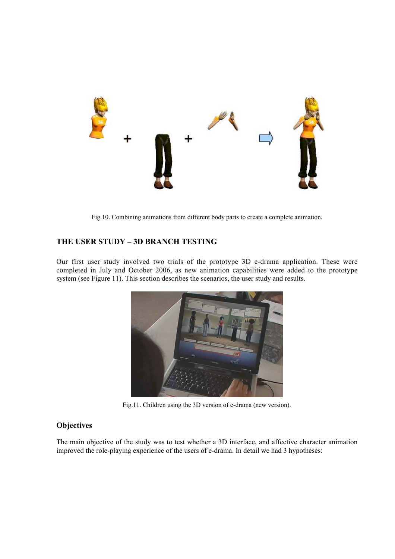

Fig.10. Combining animations from different body parts to create a complete animation.

## THE USER STUDY – 3D BRANCH TESTING

Our first user study involved two trials of the prototype 3D e-drama application. These were completed in July and October 2006, as new animation capabilities were added to the prototype system (see Figure 11). This section describes the scenarios, the user study and results.



Fig.11. Children using the 3D version of e-drama (new version).

## **Objectives**

The main objective of the study was to test whether a 3D interface, and affective character animation improved the role-playing experience of the users of e-drama. In detail we had 3 hypotheses: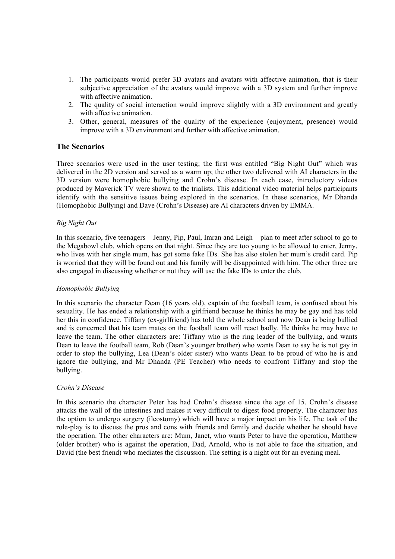- 1. The participants would prefer 3D avatars and avatars with affective animation, that is their subjective appreciation of the avatars would improve with a 3D system and further improve with affective animation.
- 2. The quality of social interaction would improve slightly with a 3D environment and greatly with affective animation.
- 3. Other, general, measures of the quality of the experience (enjoyment, presence) would improve with a 3D environment and further with affective animation.

## The Scenarios

Three scenarios were used in the user testing; the first was entitled "Big Night Out" which was delivered in the 2D version and served as a warm up; the other two delivered with AI characters in the 3D version were homophobic bullying and Crohn's disease. In each case, introductory videos produced by Maverick TV were shown to the trialists. This additional video material helps participants identify with the sensitive issues being explored in the scenarios. In these scenarios, Mr Dhanda (Homophobic Bullying) and Dave (Crohn's Disease) are AI characters driven by EMMA.

## Big Night Out

In this scenario, five teenagers – Jenny, Pip, Paul, Imran and Leigh – plan to meet after school to go to the Megabowl club, which opens on that night. Since they are too young to be allowed to enter, Jenny, who lives with her single mum, has got some fake IDs. She has also stolen her mum's credit card. Pip is worried that they will be found out and his family will be disappointed with him. The other three are also engaged in discussing whether or not they will use the fake IDs to enter the club.

## Homophobic Bullying

In this scenario the character Dean (16 years old), captain of the football team, is confused about his sexuality. He has ended a relationship with a girlfriend because he thinks he may be gay and has told her this in confidence. Tiffany (ex-girlfriend) has told the whole school and now Dean is being bullied and is concerned that his team mates on the football team will react badly. He thinks he may have to leave the team. The other characters are: Tiffany who is the ring leader of the bullying, and wants Dean to leave the football team, Rob (Dean's younger brother) who wants Dean to say he is not gay in order to stop the bullying, Lea (Dean's older sister) who wants Dean to be proud of who he is and ignore the bullying, and Mr Dhanda (PE Teacher) who needs to confront Tiffany and stop the bullying.

#### Crohn's Disease

In this scenario the character Peter has had Crohn's disease since the age of 15. Crohn's disease attacks the wall of the intestines and makes it very difficult to digest food properly. The character has the option to undergo surgery (ileostomy) which will have a major impact on his life. The task of the role-play is to discuss the pros and cons with friends and family and decide whether he should have the operation. The other characters are: Mum, Janet, who wants Peter to have the operation, Matthew (older brother) who is against the operation, Dad, Arnold, who is not able to face the situation, and David (the best friend) who mediates the discussion. The setting is a night out for an evening meal.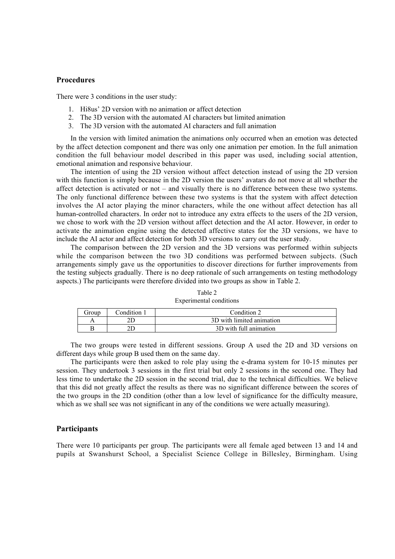## **Procedures**

There were 3 conditions in the user study:

- 1. Hi8us' 2D version with no animation or affect detection
- 2. The 3D version with the automated AI characters but limited animation
- 3. The 3D version with the automated AI characters and full animation

In the version with limited animation the animations only occurred when an emotion was detected by the affect detection component and there was only one animation per emotion. In the full animation condition the full behaviour model described in this paper was used, including social attention, emotional animation and responsive behaviour.

The intention of using the 2D version without affect detection instead of using the 2D version with this function is simply because in the 2D version the users' avatars do not move at all whether the affect detection is activated or not – and visually there is no difference between these two systems. The only functional difference between these two systems is that the system with affect detection involves the AI actor playing the minor characters, while the one without affect detection has all human-controlled characters. In order not to introduce any extra effects to the users of the 2D version, we chose to work with the 2D version without affect detection and the AI actor. However, in order to activate the animation engine using the detected affective states for the 3D versions, we have to include the AI actor and affect detection for both 3D versions to carry out the user study.

The comparison between the 2D version and the 3D versions was performed within subjects while the comparison between the two 3D conditions was performed between subjects. (Such arrangements simply gave us the opportunities to discover directions for further improvements from the testing subjects gradually. There is no deep rationale of such arrangements on testing methodology aspects.) The participants were therefore divided into two groups as show in Table 2.

| Group | $\Gamma$ Condition 1 | Condition 2               |  |
|-------|----------------------|---------------------------|--|
|       |                      | 3D with limited animation |  |
|       |                      | 3D with full animation    |  |

Table 2 Experimental conditions

The two groups were tested in different sessions. Group A used the 2D and 3D versions on different days while group B used them on the same day.

The participants were then asked to role play using the e-drama system for 10-15 minutes per session. They undertook 3 sessions in the first trial but only 2 sessions in the second one. They had less time to undertake the 2D session in the second trial, due to the technical difficulties. We believe that this did not greatly affect the results as there was no significant difference between the scores of the two groups in the 2D condition (other than a low level of significance for the difficulty measure, which as we shall see was not significant in any of the conditions we were actually measuring).

## **Participants**

There were 10 participants per group. The participants were all female aged between 13 and 14 and pupils at Swanshurst School, a Specialist Science College in Billesley, Birmingham. Using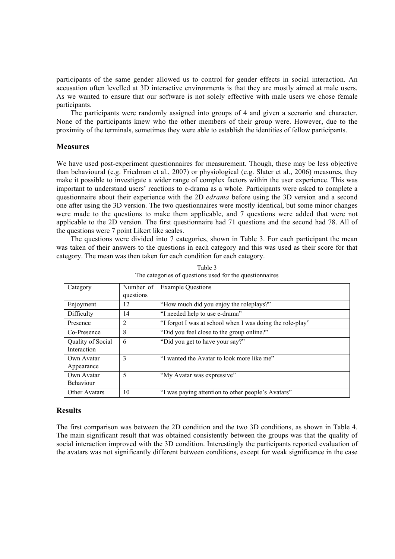participants of the same gender allowed us to control for gender effects in social interaction. An accusation often levelled at 3D interactive environments is that they are mostly aimed at male users. As we wanted to ensure that our software is not solely effective with male users we chose female participants.

The participants were randomly assigned into groups of 4 and given a scenario and character. None of the participants knew who the other members of their group were. However, due to the proximity of the terminals, sometimes they were able to establish the identities of fellow participants.

#### **Measures**

We have used post-experiment questionnaires for measurement. Though, these may be less objective than behavioural (e.g. Friedman et al., 2007) or physiological (e.g. Slater et al., 2006) measures, they make it possible to investigate a wider range of complex factors within the user experience. This was important to understand users' reactions to e-drama as a whole. Participants were asked to complete a questionnaire about their experience with the 2D *edrama* before using the 3D version and a second one after using the 3D version. The two questionnaires were mostly identical, but some minor changes were made to the questions to make them applicable, and 7 questions were added that were not applicable to the 2D version. The first questionnaire had 71 questions and the second had 78. All of the questions were 7 point Likert like scales.

The questions were divided into 7 categories, shown in Table 3. For each participant the mean was taken of their answers to the questions in each category and this was used as their score for that category. The mean was then taken for each condition for each category.

| Category                         | Number of<br>questions | <b>Example Questions</b>                                  |
|----------------------------------|------------------------|-----------------------------------------------------------|
| Enjoyment                        | 12                     | "How much did you enjoy the roleplays?"                   |
| Difficulty                       | 14                     | "I needed help to use e-drama"                            |
| Presence                         | 2                      | "I forgot I was at school when I was doing the role-play" |
| Co-Presence                      | 8                      | "Did you feel close to the group online?"                 |
| Quality of Social<br>Interaction | 6                      | "Did you get to have your say?"                           |
| Own Avatar<br>Appearance         | 3                      | "I wanted the Avatar to look more like me"                |
| Own Avatar<br>Behaviour          | 5                      | "My Avatar was expressive"                                |
| <b>Other Avatars</b>             | 10                     | "I was paying attention to other people's Avatars"        |

Table 3 The categories of questions used for the questionnaires

## Results

The first comparison was between the 2D condition and the two 3D conditions, as shown in Table 4. The main significant result that was obtained consistently between the groups was that the quality of social interaction improved with the 3D condition. Interestingly the participants reported evaluation of the avatars was not significantly different between conditions, except for weak significance in the case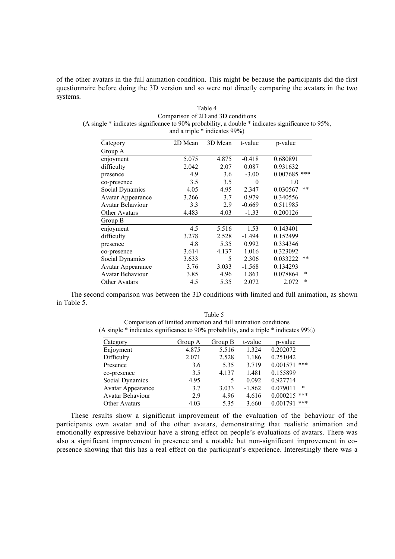of the other avatars in the full animation condition. This might be because the participants did the first questionnaire before doing the 3D version and so were not directly comparing the avatars in the two systems.

Table 4

|                          | and a urpre | $\mu$ uuuuud $\mu$ /0) |          |                   |
|--------------------------|-------------|------------------------|----------|-------------------|
| Category                 | 2D Mean     | 3D Mean                | t-value  | p-value           |
| Group A                  |             |                        |          |                   |
| enjoyment                | 5.075       | 4.875                  | $-0.418$ | 0.680891          |
| difficulty               | 2.042       | 2.07                   | 0.087    | 0.931632          |
| presence                 | 4.9         | 3.6                    | $-3.00$  | $0.007685$ ***    |
| co-presence              | 3.5         | 3.5                    | 0        | 1.0               |
| Social Dynamics          | 4.05        | 4.95                   | 2.347    | $* *$<br>0.030567 |
| <b>Avatar Appearance</b> | 3.266       | 3.7                    | 0.979    | 0.340556          |
| <b>Avatar Behaviour</b>  | 3.3         | 2.9                    | $-0.669$ | 0.511985          |
| Other Avatars            | 4.483       | 4.03                   | $-1.33$  | 0.200126          |
| Group B                  |             |                        |          |                   |
| enjoyment                | 4.5         | 5.516                  | 1.53     | 0.143401          |
| difficulty               | 3.278       | 2.528                  | $-1.494$ | 0.152499          |
| presence                 | 4.8         | 5.35                   | 0.992    | 0.334346          |
| co-presence              | 3.614       | 4.137                  | 1.016    | 0.323092          |
| Social Dynamics          | 3.633       | 5                      | 2.306    | $* *$<br>0.033222 |
| <b>Avatar Appearance</b> | 3.76        | 3.033                  | $-1.568$ | 0.134293          |
| Avatar Behaviour         | 3.85        | 4.96                   | 1.863    | 0.078864<br>*     |
| <b>Other Avatars</b>     | 4.5         | 5.35                   | 2.072    | $\ast$<br>2.072   |

| $14111C +$                                                                                           |
|------------------------------------------------------------------------------------------------------|
| Comparison of 2D and 3D conditions                                                                   |
| (A single $*$ indicates significance to 90% probability, a double $*$ indicates significance to 95%, |
| and a triple $*$ indicates 99%)                                                                      |

The second comparison was between the 3D conditions with limited and full animation, as shown in Table 5.

Table 5 Comparison of limited animation and full animation conditions (A single \* indicates significance to 90% probability, and a triple \* indicates 99%)

| Category                 | Group A | Group B | t-value  | p-value            |
|--------------------------|---------|---------|----------|--------------------|
| Enjoyment                | 4.875   | 5.516   | 1.324    | 0.202072           |
| Difficulty               | 2.071   | 2.528   | 1.186    | 0.251042           |
| Presence                 | 3.6     | 5.35    | 3.719    | 0.001571<br>***    |
| co-presence              | 3.5     | 4.137   | 1.481    | 0.155899           |
| Social Dynamics          | 4.95    | 5       | 0.092    | 0.927714           |
| <b>Avatar Appearance</b> | 3.7     | 3.033   | $-1.862$ | 0.079011<br>$\ast$ |
| Avatar Behaviour         | 2.9     | 4.96    | 4.616    | ***<br>0.000215    |
| <b>Other Avatars</b>     | 4.03    | 5.35    | 3.660    | ***<br>0.001791    |

These results show a significant improvement of the evaluation of the behaviour of the participants own avatar and of the other avatars, demonstrating that realistic animation and emotionally expressive behaviour have a strong effect on people's evaluations of avatars. There was also a significant improvement in presence and a notable but non-significant improvement in copresence showing that this has a real effect on the participant's experience. Interestingly there was a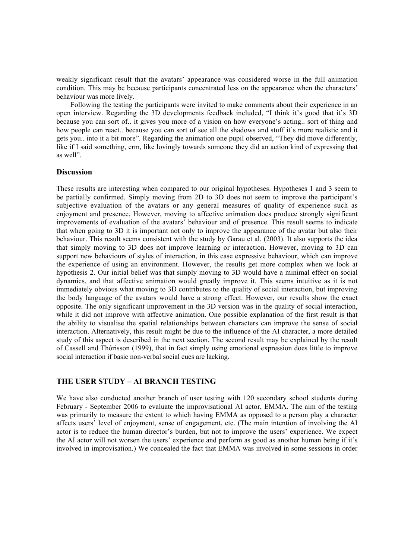weakly significant result that the avatars' appearance was considered worse in the full animation condition. This may be because participants concentrated less on the appearance when the characters' behaviour was more lively.

Following the testing the participants were invited to make comments about their experience in an open interview. Regarding the 3D developments feedback included, "I think it's good that it's 3D because you can sort of.. it gives you more of a vision on how everyone's acting.. sort of thing and how people can react.. because you can sort of see all the shadows and stuff it's more realistic and it gets you.. into it a bit more". Regarding the animation one pupil observed, "They did move differently, like if I said something, erm, like lovingly towards someone they did an action kind of expressing that as well".

## **Discussion**

These results are interesting when compared to our original hypotheses. Hypotheses 1 and 3 seem to be partially confirmed. Simply moving from 2D to 3D does not seem to improve the participant's subjective evaluation of the avatars or any general measures of quality of experience such as enjoyment and presence. However, moving to affective animation does produce strongly significant improvements of evaluation of the avatars' behaviour and of presence. This result seems to indicate that when going to 3D it is important not only to improve the appearance of the avatar but also their behaviour. This result seems consistent with the study by Garau et al. (2003). It also supports the idea that simply moving to 3D does not improve learning or interaction. However, moving to 3D can support new behaviours of styles of interaction, in this case expressive behaviour, which can improve the experience of using an environment. However, the results get more complex when we look at hypothesis 2. Our initial belief was that simply moving to 3D would have a minimal effect on social dynamics, and that affective animation would greatly improve it. This seems intuitive as it is not immediately obvious what moving to 3D contributes to the quality of social interaction, but improving the body language of the avatars would have a strong effect. However, our results show the exact opposite. The only significant improvement in the 3D version was in the quality of social interaction, while it did not improve with affective animation. One possible explanation of the first result is that the ability to visualise the spatial relationships between characters can improve the sense of social interaction. Alternatively, this result might be due to the influence of the AI character, a more detailed study of this aspect is described in the next section. The second result may be explained by the result of Cassell and Thórisson (1999), that in fact simply using emotional expression does little to improve social interaction if basic non-verbal social cues are lacking.

## THE USER STUDY – AI BRANCH TESTING

We have also conducted another branch of user testing with 120 secondary school students during February - September 2006 to evaluate the improvisational AI actor, EMMA. The aim of the testing was primarily to measure the extent to which having EMMA as opposed to a person play a character affects users' level of enjoyment, sense of engagement, etc. (The main intention of involving the AI actor is to reduce the human director's burden, but not to improve the users' experience. We expect the AI actor will not worsen the users' experience and perform as good as another human being if it's involved in improvisation.) We concealed the fact that EMMA was involved in some sessions in order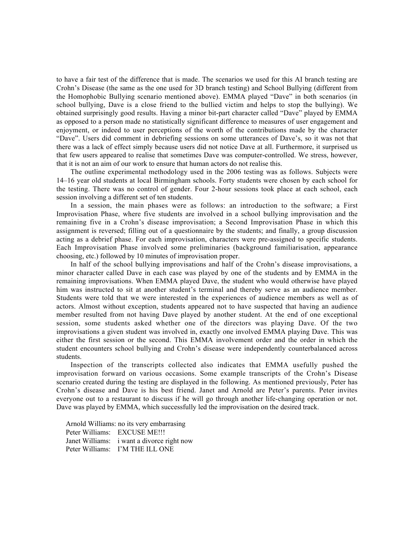to have a fair test of the difference that is made. The scenarios we used for this AI branch testing are Crohn's Disease (the same as the one used for 3D branch testing) and School Bullying (different from the Homophobic Bullying scenario mentioned above). EMMA played "Dave" in both scenarios (in school bullying, Dave is a close friend to the bullied victim and helps to stop the bullying). We obtained surprisingly good results. Having a minor bit-part character called "Dave" played by EMMA as opposed to a person made no statistically significant difference to measures of user engagement and enjoyment, or indeed to user perceptions of the worth of the contributions made by the character "Dave". Users did comment in debriefing sessions on some utterances of Dave's, so it was not that there was a lack of effect simply because users did not notice Dave at all. Furthermore, it surprised us that few users appeared to realise that sometimes Dave was computer-controlled. We stress, however, that it is not an aim of our work to ensure that human actors do not realise this.

The outline experimental methodology used in the 2006 testing was as follows. Subjects were 14–16 year old students at local Birmingham schools. Forty students were chosen by each school for the testing. There was no control of gender. Four 2-hour sessions took place at each school, each session involving a different set of ten students.

In a session, the main phases were as follows: an introduction to the software; a First Improvisation Phase, where five students are involved in a school bullying improvisation and the remaining five in a Crohn's disease improvisation; a Second Improvisation Phase in which this assignment is reversed; filling out of a questionnaire by the students; and finally, a group discussion acting as a debrief phase. For each improvisation, characters were pre-assigned to specific students. Each Improvisation Phase involved some preliminaries (background familiarisation, appearance choosing, etc.) followed by 10 minutes of improvisation proper.

In half of the school bullying improvisations and half of the Crohn's disease improvisations, a minor character called Dave in each case was played by one of the students and by EMMA in the remaining improvisations. When EMMA played Dave, the student who would otherwise have played him was instructed to sit at another student's terminal and thereby serve as an audience member. Students were told that we were interested in the experiences of audience members as well as of actors. Almost without exception, students appeared not to have suspected that having an audience member resulted from not having Dave played by another student. At the end of one exceptional session, some students asked whether one of the directors was playing Dave. Of the two improvisations a given student was involved in, exactly one involved EMMA playing Dave. This was either the first session or the second. This EMMA involvement order and the order in which the student encounters school bullying and Crohn's disease were independently counterbalanced across students.

Inspection of the transcripts collected also indicates that EMMA usefully pushed the improvisation forward on various occasions. Some example transcripts of the Crohn's Disease scenario created during the testing are displayed in the following. As mentioned previously, Peter has Crohn's disease and Dave is his best friend. Janet and Arnold are Peter's parents. Peter invites everyone out to a restaurant to discuss if he will go through another life-changing operation or not. Dave was played by EMMA, which successfully led the improvisation on the desired track.

Arnold Williams: no its very embarrasing Peter Williams: EXCUSE ME!!! Janet Williams: i want a divorce right now Peter Williams: I'M THE ILL ONE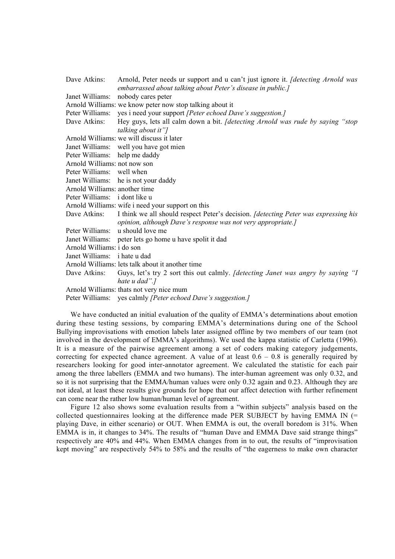| Arnold, Peter needs ur support and u can't just ignore it. <i>[detecting Arnold was</i>                                                                    |
|------------------------------------------------------------------------------------------------------------------------------------------------------------|
| embarrassed about talking about Peter's disease in public.]                                                                                                |
| Janet Williams: nobody cares peter                                                                                                                         |
| Arnold Williams: we know peter now stop talking about it                                                                                                   |
| Peter Williams: yes i need your support <i>[Peter echoed Dave's suggestion.]</i>                                                                           |
| Hey guys, lets all calm down a bit. <i>[detecting Arnold was rude by saying "stop</i> "                                                                    |
| talking about it"]                                                                                                                                         |
| Arnold Williams: we will discuss it later                                                                                                                  |
| Janet Williams: well you have got mien                                                                                                                     |
| Peter Williams: help me daddy                                                                                                                              |
| Arnold Williams: not now son                                                                                                                               |
| Peter Williams: well when                                                                                                                                  |
| Janet Williams: he is not your daddy                                                                                                                       |
| Arnold Williams: another time                                                                                                                              |
| Peter Williams: i dont like u                                                                                                                              |
| Arnold Williams: wife i need your support on this                                                                                                          |
| I think we all should respect Peter's decision. <i>[detecting Peter was expressing his</i><br>opinion, although Dave's response was not very appropriate.] |
| Peter Williams: u should love me                                                                                                                           |
| Janet Williams: peter lets go home u have spolit it dad                                                                                                    |
| Arnold Williams: i do son                                                                                                                                  |
| Janet Williams: <i>i</i> hate u dad                                                                                                                        |
| Arnold Williams: lets talk about it another time                                                                                                           |
| Guys, let's try 2 sort this out calmly. <i>[detecting Janet was angry by saying "I</i>                                                                     |
| hate u dad".]                                                                                                                                              |
| Arnold Williams: thats not very nice mum                                                                                                                   |
| Peter Williams: yes calmly <i>[Peter echoed Dave's suggestion.]</i>                                                                                        |
|                                                                                                                                                            |

We have conducted an initial evaluation of the quality of EMMA's determinations about emotion during these testing sessions, by comparing EMMA's determinations during one of the School Bullying improvisations with emotion labels later assigned offline by two members of our team (not involved in the development of EMMA's algorithms). We used the kappa statistic of Carletta (1996). It is a measure of the pairwise agreement among a set of coders making category judgements, correcting for expected chance agreement. A value of at least  $0.6 - 0.8$  is generally required by researchers looking for good inter-annotator agreement. We calculated the statistic for each pair among the three labellers (EMMA and two humans). The inter-human agreement was only 0.32, and so it is not surprising that the EMMA/human values were only 0.32 again and 0.23. Although they are not ideal, at least these results give grounds for hope that our affect detection with further refinement can come near the rather low human/human level of agreement.

Figure 12 also shows some evaluation results from a "within subjects" analysis based on the collected questionnaires looking at the difference made PER SUBJECT by having EMMA IN  $(=$ playing Dave, in either scenario) or OUT. When EMMA is out, the overall boredom is 31%. When EMMA is in, it changes to 34%. The results of "human Dave and EMMA Dave said strange things" respectively are 40% and 44%. When EMMA changes from in to out, the results of "improvisation kept moving" are respectively 54% to 58% and the results of "the eagerness to make own character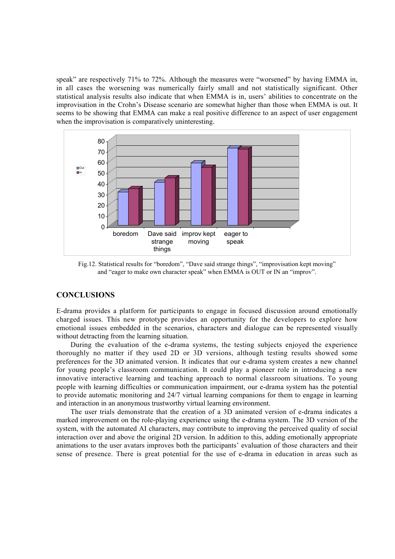speak" are respectively 71% to 72%. Although the measures were "worsened" by having EMMA in, in all cases the worsening was numerically fairly small and not statistically significant. Other statistical analysis results also indicate that when EMMA is in, users' abilities to concentrate on the improvisation in the Crohn's Disease scenario are somewhat higher than those when EMMA is out. It seems to be showing that EMMA can make a real positive difference to an aspect of user engagement when the improvisation is comparatively uninteresting.



Fig.12. Statistical results for "boredom", "Dave said strange things", "improvisation kept moving" and "eager to make own character speak" when EMMA is OUT or IN an "improv".

## **CONCLUSIONS**

E-drama provides a platform for participants to engage in focused discussion around emotionally charged issues. This new prototype provides an opportunity for the developers to explore how emotional issues embedded in the scenarios, characters and dialogue can be represented visually without detracting from the learning situation.

During the evaluation of the e-drama systems, the testing subjects enjoyed the experience thoroughly no matter if they used 2D or 3D versions, although testing results showed some preferences for the 3D animated version. It indicates that our e-drama system creates a new channel for young people's classroom communication. It could play a pioneer role in introducing a new innovative interactive learning and teaching approach to normal classroom situations. To young people with learning difficulties or communication impairment, our e-drama system has the potential to provide automatic monitoring and 24/7 virtual learning companions for them to engage in learning and interaction in an anonymous trustworthy virtual learning environment.

The user trials demonstrate that the creation of a 3D animated version of e-drama indicates a marked improvement on the role-playing experience using the e-drama system. The 3D version of the system, with the automated AI characters, may contribute to improving the perceived quality of social interaction over and above the original 2D version. In addition to this, adding emotionally appropriate animations to the user avatars improves both the participants' evaluation of those characters and their sense of presence. There is great potential for the use of e-drama in education in areas such as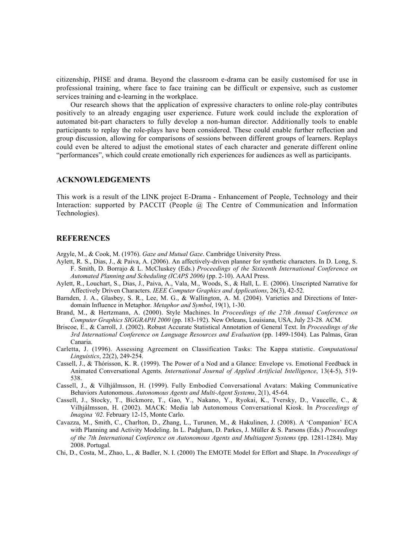citizenship, PHSE and drama. Beyond the classroom e-drama can be easily customised for use in professional training, where face to face training can be difficult or expensive, such as customer services training and e-learning in the workplace.

Our research shows that the application of expressive characters to online role-play contributes positively to an already engaging user experience. Future work could include the exploration of automated bit-part characters to fully develop a non-human director. Additionally tools to enable participants to replay the role-plays have been considered. These could enable further reflection and group discussion, allowing for comparisons of sessions between different groups of learners. Replays could even be altered to adjust the emotional states of each character and generate different online "performances", which could create emotionally rich experiences for audiences as well as participants.

### ACKNOWLEDGEMENTS

This work is a result of the LINK project E-Drama - Enhancement of People, Technology and their Interaction: supported by PACCIT (People @ The Centre of Communication and Information Technologies).

#### REFERENCES

Argyle, M., & Cook, M. (1976). Gaze and Mutual Gaze. Cambridge University Press.

- Aylett, R. S., Dias, J., & Paiva, A. (2006). An affectively-driven planner for synthetic characters. In D. Long, S. F. Smith, D. Borrajo & L. McCluskey (Eds.) Proceedings of the Sixteenth International Conference on Automated Planning and Scheduling (ICAPS 2006) (pp. 2-10). AAAI Press.
- Aylett, R., Louchart, S., Dias, J., Paiva, A., Vala, M., Woods, S., & Hall, L. E. (2006). Unscripted Narrative for Affectively Driven Characters. IEEE Computer Graphics and Applications, 26(3), 42-52.
- Barnden, J. A., Glasbey, S. R., Lee, M. G., & Wallington, A. M. (2004). Varieties and Directions of Interdomain Influence in Metaphor. Metaphor and Symbol, 19(1), 1-30.
- Brand, M., & Hertzmann, A. (2000). Style Machines. In Proceedings of the 27th Annual Conference on Computer Graphics SIGGRAPH 2000 (pp. 183-192). New Orleans, Louisiana, USA, July 23-28. ACM.
- Briscoe, E., & Carroll, J. (2002). Robust Accurate Statistical Annotation of General Text. In *Proceedings of the* 3rd International Conference on Language Resources and Evaluation (pp. 1499-1504). Las Palmas, Gran Canaria.
- Carletta, J. (1996). Assessing Agreement on Classification Tasks: The Kappa statistic. Computational Linguistics, 22(2), 249-254.
- Cassell, J., & Thórisson, K. R. (1999). The Power of a Nod and a Glance: Envelope vs. Emotional Feedback in Animated Conversational Agents. International Journal of Applied Artificial Intelligence, 13(4-5), 519- 538.
- Cassell, J., & Vilhjálmsson, H. (1999). Fully Embodied Conversational Avatars: Making Communicative Behaviors Autonomous. Autonomous Agents and Multi-Agent Systems, 2(1), 45-64.
- Cassell, J., Stocky, T., Bickmore, T., Gao, Y., Nakano, Y., Ryokai, K., Tversky, D., Vaucelle, C., & Vilhjálmsson, H. (2002). MACK: Media lab Autonomous Conversational Kiosk. In Proceedings of Imagina '02. February 12-15, Monte Carlo.
- Cavazza, M., Smith, C., Charlton, D., Zhang, L., Turunen, M., & Hakulinen, J. (2008). A 'Companion' ECA with Planning and Activity Modeling. In L. Padgham, D. Parkes, J. Müller & S. Parsons (Eds.) Proceedings of the 7th International Conference on Autonomous Agents and Multiagent Systems (pp. 1281-1284). May 2008. Portugal.
- Chi, D., Costa, M., Zhao, L., & Badler, N. I. (2000) The EMOTE Model for Effort and Shape. In Proceedings of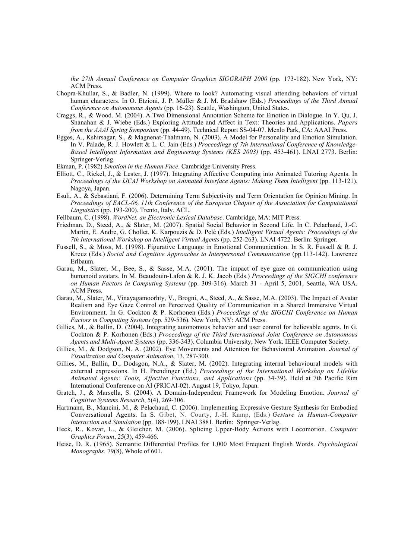the 27th Annual Conference on Computer Graphics SIGGRAPH 2000 (pp. 173-182). New York, NY: ACM Press.

- Chopra-Khullar, S., & Badler, N. (1999). Where to look? Automating visual attending behaviors of virtual human characters. In O. Etzioni, J. P. Müller & J. M. Bradshaw (Eds.) Proceedings of the Third Annual Conference on Autonomous Agents (pp. 16-23). Seattle, Washington, United States.
- Craggs, R., & Wood. M. (2004). A Two Dimensional Annotation Scheme for Emotion in Dialogue. In Y. Qu, J. Shanahan & J. Wiebe (Eds.) Exploring Attitude and Affect in Text: Theories and Applications. Papers from the AAAI Spring Symposium (pp. 44-49). Technical Report SS-04-07. Menlo Park, CA: AAAI Press.
- Egges, A., Kshirsagar, S., & Magnenat-Thalmann, N. (2003). A Model for Personality and Emotion Simulation. In V. Palade, R. J. Howlett & L. C. Jain (Eds.) Proceedings of 7th International Conference of Knowledge-Based Intelligent Information and Engineering Systems (KES 2003) (pp. 453-461). LNAI 2773. Berlin: Springer-Verlag.
- Ekman, P. (1982) Emotion in the Human Face. Cambridge University Press.
- Elliott, C., Rickel, J., & Lester, J. (1997). Integrating Affective Computing into Animated Tutoring Agents. In Proceedings of the IJCAI Workshop on Animated Interface Agents: Making Them Intelligent (pp. 113-121). Nagoya, Japan.
- Esuli, A., & Sebastiani, F. (2006). Determining Term Subjectivity and Term Orientation for Opinion Mining. In Proceedings of EACL-06, 11th Conference of the European Chapter of the Association for Computational Linguistics (pp. 193-200). Trento, Italy. ACL.
- Fellbaum, C. (1998). WordNet, an Electronic Lexical Database. Cambridge, MA: MIT Press.
- Friedman, D., Steed, A., & Slater, M. (2007). Spatial Social Behavior in Second Life. In C. Pelachaud, J.-C. Martin, E. Andre, G. Chollet, K. Karpouzis & D. Pelè (Eds.) Intelligent Virtual Agents: Proceedings of the 7th International Workshop on Intelligent Virtual Agents (pp. 252-263). LNAI 4722. Berlin: Springer.
- Fussell, S., & Moss, M. (1998). Figurative Language in Emotional Communication. In S. R. Fussell & R. J. Kreuz (Eds.) Social and Cognitive Approaches to Interpersonal Communication (pp.113-142). Lawrence Erlbaum.
- Garau, M., Slater, M., Bee, S., & Sasse, M.A. (2001). The impact of eye gaze on communication using humanoid avatars. In M. Beaudouin-Lafon & R. J. K. Jacob (Eds.) Proceedings of the SIGCHI conference on Human Factors in Computing Systems (pp. 309-316). March 31 - April 5, 2001, Seattle, WA USA. ACM Press.
- Garau, M., Slater, M., Vinayagamoorhty, V., Brogni, A., Steed, A., & Sasse, M.A. (2003). The Impact of Avatar Realism and Eye Gaze Control on Perceived Quality of Communication in a Shared Immersive Virtual Environment. In G. Cockton & P. Korhonen (Eds.) Proceedings of the SIGCHI Conference on Human Factors in Computing Systems (pp. 529-536). New York, NY: ACM Press.
- Gillies, M., & Ballin, D. (2004). Integrating autonomous behavior and user control for believable agents. In G. Cockton & P. Korhonen (Eds.) Proceedings of the Third International Joint Conference on Autonomous Agents and Multi-Agent Systems (pp. 336-343). Columbia University, New York. IEEE Computer Society.
- Gillies, M., & Dodgson, N. A. (2002). Eye Movements and Attention for Behavioural Animation. Journal of Visualization and Computer Animation, 13, 287-300.
- Gillies, M., Ballin, D., Dodsgon, N.A., & Slater, M. (2002). Integrating internal behavioural models with external expressions. In H. Prendinger (Ed.) Proceedings of the International Workshop on Lifelike Animated Agents: Tools, Affective Functions, and Applications (pp. 34-39). Held at 7th Pacific Rim International Conference on AI (PRICAI-02). August 19, Tokyo, Japan.
- Gratch, J., & Marsella, S. (2004). A Domain-Independent Framework for Modeling Emotion. Journal of Cognitive Systems Research, 5(4), 269-306.
- Hartmann, B., Mancini, M., & Pelachaud, C. (2006). Implementing Expressive Gesture Synthesis for Embodied Conversational Agents. In S. Gibet, N. Courty, J.-H. Kamp, (Eds.) Gesture in Human-Computer Interaction and Simulation (pp. 188-199). LNAI 3881. Berlin: Springer-Verlag.
- Heck, R., Kovar, L., & Gleicher. M. (2006). Splicing Upper-Body Actions with Locomotion. Computer Graphics Forum, 25(3), 459-466.
- Heise, D. R. (1965). Semantic Differential Profiles for 1,000 Most Frequent English Words. *Psychological* Monographs. 79(8), Whole of 601.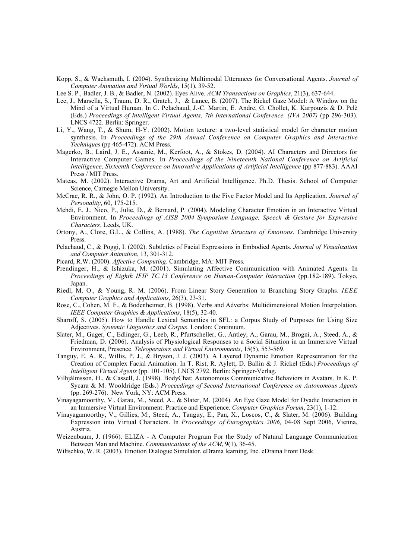- Kopp, S., & Wachsmuth, I. (2004). Synthesizing Multimodal Utterances for Conversational Agents. Journal of Computer Animation and Virtual Worlds, 15(1), 39-52.
- Lee S. P., Badler, J. B., & Badler, N. (2002). Eyes Alive. ACM Transactions on Graphics, 21(3), 637-644.
- Lee, J., Marsella, S., Traum, D. R., Gratch, J., & Lance, B. (2007). The Rickel Gaze Model: A Window on the Mind of a Virtual Human. In C. Pelachaud, J.-C. Martin, E. Andre, G. Chollet, K. Karpouzis & D. Pelè (Eds.) Proceedings of Intelligent Virtual Agents, 7th International Conference, (IVA 2007) (pp 296-303). LNCS 4722. Berlin: Springer.
- Li, Y., Wang, T., & Shum, H-Y. (2002). Motion texture: a two-level statistical model for character motion synthesis. In Proceedings of the 29th Annual Conference on Computer Graphics and Interactive Techniques (pp 465-472). ACM Press.
- Magerko, B., Laird, J. E., Assanie, M., Kerfoot, A., & Stokes, D. (2004). AI Characters and Directors for Interactive Computer Games. In Proceedings of the Nineteenth National Conference on Artificial Intelligence, Sixteenth Conference on Innovative Applications of Artificial Intelligence (pp 877-883). AAAI Press / MIT Press.
- Mateas, M. (2002). Interactive Drama, Art and Artificial Intelligence. Ph.D. Thesis. School of Computer Science, Carnegie Mellon University.
- McCrae, R. R., & John, O. P. (1992). An Introduction to the Five Factor Model and Its Application. Journal of Personality, 60, 175-215.
- Mehdi, E. J., Nico, P., Julie, D., & Bernard, P. (2004). Modeling Character Emotion in an Interactive Virtual Environment. In Proceedings of AISB 2004 Symposium Language, Speech & Gesture for Expressive Characters. Leeds, UK.
- Ortony, A., Clore, G.L., & Collins, A. (1988). The Cognitive Structure of Emotions. Cambridge University Press.
- Pelachaud, C., & Poggi, I. (2002). Subtleties of Facial Expressions in Embodied Agents. Journal of Visualization and Computer Animation, 13, 301-312.
- Picard, R.W. (2000). Affective Computing. Cambridge, MA: MIT Press.
- Prendinger, H., & Ishizuka, M. (2001). Simulating Affective Communication with Animated Agents. In Proceedings of Eighth IFIP TC.13 Conference on Human-Computer Interaction (pp.182-189). Tokyo, Japan.
- Riedl, M. O., & Young, R. M. (2006). From Linear Story Generation to Branching Story Graphs. IEEE Computer Graphics and Applications, 26(3), 23-31.
- Rose, C., Cohen, M. F., & Bodenheimer, B. (1998). Verbs and Adverbs: Multidimensional Motion Interpolation. IEEE Computer Graphics & Applications, 18(5), 32-40.
- Sharoff, S. (2005). How to Handle Lexical Semantics in SFL: a Corpus Study of Purposes for Using Size Adjectives. Systemic Linguistics and Corpus. London: Continuum.
- Slater, M., Guger, C., Edlinger, G., Leeb, R., Pfurtscheller, G., Antley, A., Garau, M., Brogni, A., Steed, A., & Friedman, D. (2006). Analysis of Physiological Responses to a Social Situation in an Immersive Virtual Environment, Presence. Teleoperators and Virtual Environments, 15(5), 553-569.
- Tanguy, E. A. R., Willis, P. J., & Bryson, J. J. (2003). A Layered Dynamic Emotion Representation for the Creation of Complex Facial Animation. In T. Rist, R. Aylett, D. Ballin & J. Rickel (Eds.) Proceedings of Intelligent Virtual Agents (pp. 101-105). LNCS 2792. Berlin: Springer-Verlag.
- Vilhjálmsson, H., & Cassell, J. (1998). BodyChat: Autonomous Communicative Behaviors in Avatars. In K. P. Sycara & M. Wooldridge (Eds.) Proceedings of Second International Conference on Autonomous Agents (pp. 269-276). New York, NY: ACM Press.
- Vinayagamoorthy, V., Garau, M., Steed, A., & Slater, M. (2004). An Eye Gaze Model for Dyadic Interaction in an Immersive Virtual Environment: Practice and Experience. Computer Graphics Forum, 23(1), 1-12.
- Vinayagamoorthy, V., Gillies, M., Steed, A., Tanguy, E., Pan, X., Loscos, C., & Slater, M. (2006). Building Expression into Virtual Characters. In Proceedings of Eurographics 2006, 04-08 Sept 2006, Vienna, Austria.
- Weizenbaum, J. (1966). ELIZA A Computer Program For the Study of Natural Language Communication Between Man and Machine. Communications of the ACM, 9(1), 36-45.
- Wiltschko, W. R. (2003). Emotion Dialogue Simulator. eDrama learning, Inc. eDrama Front Desk.